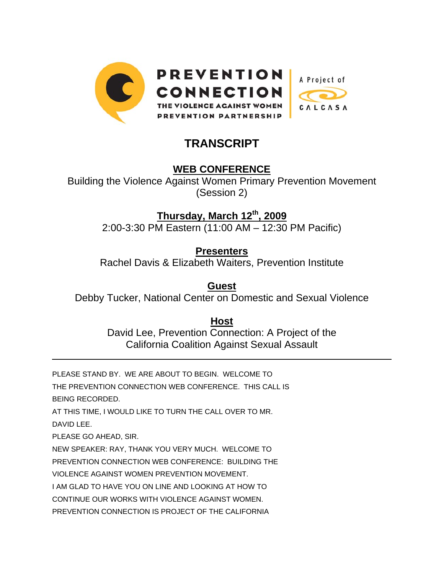

# **TRANSCRIPT**

# **WEB CONFERENCE**

Building the Violence Against Women Primary Prevention Movement (Session 2)

**Thursday, March 12th, 2009**

2:00-3:30 PM Eastern (11:00 AM – 12:30 PM Pacific)

**Presenters** Rachel Davis & Elizabeth Waiters, Prevention Institute

**Guest** Debby Tucker, National Center on Domestic and Sexual Violence

> **Host** David Lee, Prevention Connection: A Project of the California Coalition Against Sexual Assault

PLEASE STAND BY. WE ARE ABOUT TO BEGIN. WELCOME TO

THE PREVENTION CONNECTION WEB CONFERENCE. THIS CALL IS BEING RECORDED.

AT THIS TIME, I WOULD LIKE TO TURN THE CALL OVER TO MR.

DAVID LEE.

l

PLEASE GO AHEAD, SIR.

NEW SPEAKER: RAY, THANK YOU VERY MUCH. WELCOME TO

PREVENTION CONNECTION WEB CONFERENCE: BUILDING THE

VIOLENCE AGAINST WOMEN PREVENTION MOVEMENT.

I AM GLAD TO HAVE YOU ON LINE AND LOOKING AT HOW TO

CONTINUE OUR WORKS WITH VIOLENCE AGAINST WOMEN.

PREVENTION CONNECTION IS PROJECT OF THE CALIFORNIA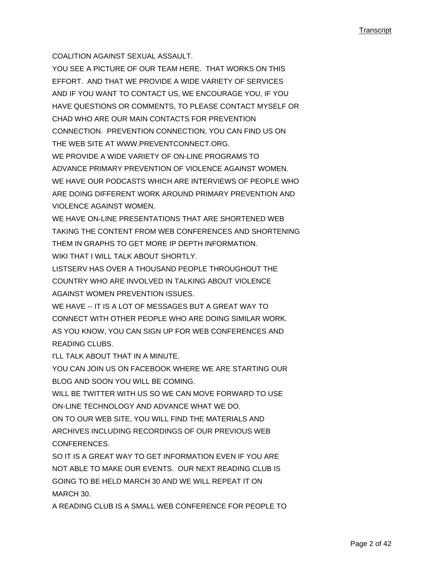COALITION AGAINST SEXUAL ASSAULT.

YOU SEE A PICTURE OF OUR TEAM HERE. THAT WORKS ON THIS EFFORT. AND THAT WE PROVIDE A WIDE VARIETY OF SERVICES AND IF YOU WANT TO CONTACT US, WE ENCOURAGE YOU, IF YOU HAVE QUESTIONS OR COMMENTS, TO PLEASE CONTACT MYSELF OR CHAD WHO ARE OUR MAIN CONTACTS FOR PREVENTION CONNECTION. PREVENTION CONNECTION, YOU CAN FIND US ON THE WEB SITE AT WWW.PREVENTCONNECT.ORG. WE PROVIDE A WIDE VARIETY OF ON-LINE PROGRAMS TO ADVANCE PRIMARY PREVENTION OF VIOLENCE AGAINST WOMEN. WE HAVE OUR PODCASTS WHICH ARE INTERVIEWS OF PEOPLE WHO ARE DOING DIFFERENT WORK AROUND PRIMARY PREVENTION AND VIOLENCE AGAINST WOMEN.

WE HAVE ON-LINE PRESENTATIONS THAT ARE SHORTENED WEB TAKING THE CONTENT FROM WEB CONFERENCES AND SHORTENING THEM IN GRAPHS TO GET MORE IP DEPTH INFORMATION. WIKI THAT I WILL TALK ABOUT SHORTLY.

LISTSERV HAS OVER A THOUSAND PEOPLE THROUGHOUT THE COUNTRY WHO ARE INVOLVED IN TALKING ABOUT VIOLENCE AGAINST WOMEN PREVENTION ISSUES.

WE HAVE -- IT IS A LOT OF MESSAGES BUT A GREAT WAY TO CONNECT WITH OTHER PEOPLE WHO ARE DOING SIMILAR WORK. AS YOU KNOW, YOU CAN SIGN UP FOR WEB CONFERENCES AND READING CLUBS.

I'LL TALK ABOUT THAT IN A MINUTE.

YOU CAN JOIN US ON FACEBOOK WHERE WE ARE STARTING OUR BLOG AND SOON YOU WILL BE COMING.

WILL BE TWITTER WITH US SO WE CAN MOVE FORWARD TO USE ON-LINE TECHNOLOGY AND ADVANCE WHAT WE DO.

ON TO OUR WEB SITE, YOU WILL FIND THE MATERIALS AND ARCHIVES INCLUDING RECORDINGS OF OUR PREVIOUS WEB CONFERENCES.

SO IT IS A GREAT WAY TO GET INFORMATION EVEN IF YOU ARE NOT ABLE TO MAKE OUR EVENTS. OUR NEXT READING CLUB IS GOING TO BE HELD MARCH 30 AND WE WILL REPEAT IT ON MARCH 30.

A READING CLUB IS A SMALL WEB CONFERENCE FOR PEOPLE TO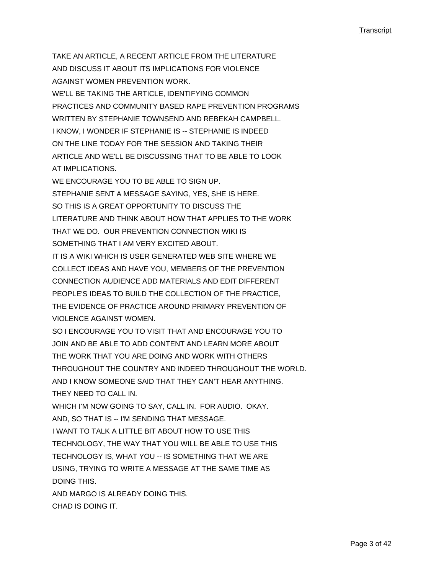TAKE AN ARTICLE, A RECENT ARTICLE FROM THE LITERATURE AND DISCUSS IT ABOUT ITS IMPLICATIONS FOR VIOLENCE AGAINST WOMEN PREVENTION WORK. WE'LL BE TAKING THE ARTICLE, IDENTIFYING COMMON PRACTICES AND COMMUNITY BASED RAPE PREVENTION PROGRAMS WRITTEN BY STEPHANIE TOWNSEND AND REBEKAH CAMPBELL. I KNOW, I WONDER IF STEPHANIE IS -- STEPHANIE IS INDEED ON THE LINE TODAY FOR THE SESSION AND TAKING THEIR ARTICLE AND WE'LL BE DISCUSSING THAT TO BE ABLE TO LOOK AT IMPLICATIONS.

WE ENCOURAGE YOU TO BE ABLE TO SIGN UP. STEPHANIE SENT A MESSAGE SAYING, YES, SHE IS HERE. SO THIS IS A GREAT OPPORTUNITY TO DISCUSS THE LITERATURE AND THINK ABOUT HOW THAT APPLIES TO THE WORK THAT WE DO. OUR PREVENTION CONNECTION WIKI IS SOMETHING THAT I AM VERY EXCITED ABOUT.

IT IS A WIKI WHICH IS USER GENERATED WEB SITE WHERE WE COLLECT IDEAS AND HAVE YOU, MEMBERS OF THE PREVENTION CONNECTION AUDIENCE ADD MATERIALS AND EDIT DIFFERENT PEOPLE'S IDEAS TO BUILD THE COLLECTION OF THE PRACTICE, THE EVIDENCE OF PRACTICE AROUND PRIMARY PREVENTION OF VIOLENCE AGAINST WOMEN.

SO I ENCOURAGE YOU TO VISIT THAT AND ENCOURAGE YOU TO JOIN AND BE ABLE TO ADD CONTENT AND LEARN MORE ABOUT THE WORK THAT YOU ARE DOING AND WORK WITH OTHERS THROUGHOUT THE COUNTRY AND INDEED THROUGHOUT THE WORLD. AND I KNOW SOMEONE SAID THAT THEY CAN'T HEAR ANYTHING. THEY NEED TO CALL IN.

WHICH I'M NOW GOING TO SAY, CALL IN. FOR AUDIO. OKAY. AND, SO THAT IS -- I'M SENDING THAT MESSAGE.

I WANT TO TALK A LITTLE BIT ABOUT HOW TO USE THIS TECHNOLOGY, THE WAY THAT YOU WILL BE ABLE TO USE THIS TECHNOLOGY IS, WHAT YOU -- IS SOMETHING THAT WE ARE USING, TRYING TO WRITE A MESSAGE AT THE SAME TIME AS DOING THIS.

AND MARGO IS ALREADY DOING THIS. CHAD IS DOING IT.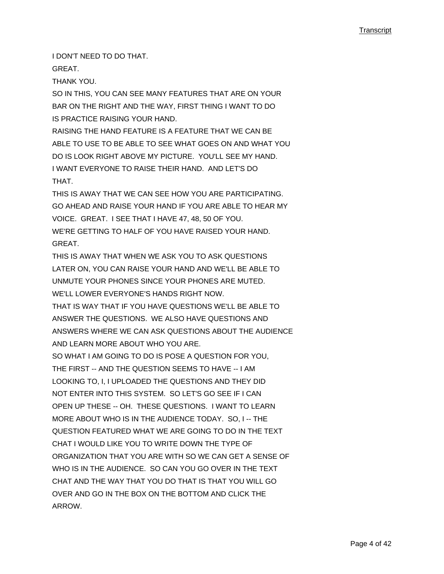I DON'T NEED TO DO THAT.

GREAT.

THANK YOU.

SO IN THIS, YOU CAN SEE MANY FEATURES THAT ARE ON YOUR BAR ON THE RIGHT AND THE WAY, FIRST THING I WANT TO DO IS PRACTICE RAISING YOUR HAND.

RAISING THE HAND FEATURE IS A FEATURE THAT WE CAN BE ABLE TO USE TO BE ABLE TO SEE WHAT GOES ON AND WHAT YOU DO IS LOOK RIGHT ABOVE MY PICTURE. YOU'LL SEE MY HAND. I WANT EVERYONE TO RAISE THEIR HAND. AND LET'S DO **THAT** 

THIS IS AWAY THAT WE CAN SEE HOW YOU ARE PARTICIPATING. GO AHEAD AND RAISE YOUR HAND IF YOU ARE ABLE TO HEAR MY VOICE. GREAT. I SEE THAT I HAVE 47, 48, 50 OF YOU. WE'RE GETTING TO HALF OF YOU HAVE RAISED YOUR HAND. **GREAT** 

THIS IS AWAY THAT WHEN WE ASK YOU TO ASK QUESTIONS LATER ON, YOU CAN RAISE YOUR HAND AND WE'LL BE ABLE TO UNMUTE YOUR PHONES SINCE YOUR PHONES ARE MUTED. WE'LL LOWER EVERYONE'S HANDS RIGHT NOW.

THAT IS WAY THAT IF YOU HAVE QUESTIONS WE'LL BE ABLE TO ANSWER THE QUESTIONS. WE ALSO HAVE QUESTIONS AND ANSWERS WHERE WE CAN ASK QUESTIONS ABOUT THE AUDIENCE AND LEARN MORE ABOUT WHO YOU ARE.

SO WHAT I AM GOING TO DO IS POSE A QUESTION FOR YOU, THE FIRST -- AND THE QUESTION SEEMS TO HAVE -- I AM LOOKING TO, I, I UPLOADED THE QUESTIONS AND THEY DID NOT ENTER INTO THIS SYSTEM. SO LET'S GO SEE IF I CAN OPEN UP THESE -- OH. THESE QUESTIONS. I WANT TO LEARN MORE ABOUT WHO IS IN THE AUDIENCE TODAY. SO, I -- THE QUESTION FEATURED WHAT WE ARE GOING TO DO IN THE TEXT CHAT I WOULD LIKE YOU TO WRITE DOWN THE TYPE OF ORGANIZATION THAT YOU ARE WITH SO WE CAN GET A SENSE OF WHO IS IN THE AUDIENCE. SO CAN YOU GO OVER IN THE TEXT CHAT AND THE WAY THAT YOU DO THAT IS THAT YOU WILL GO OVER AND GO IN THE BOX ON THE BOTTOM AND CLICK THE ARROW.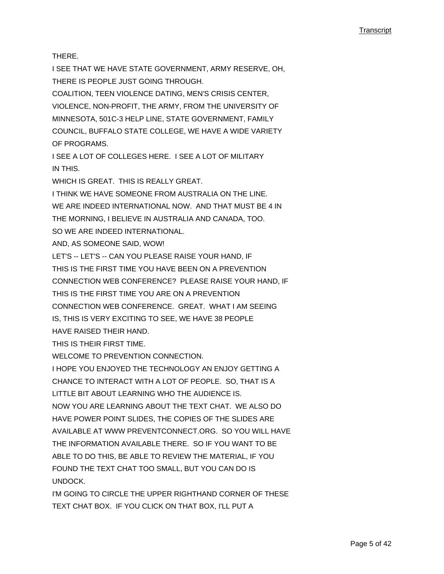THERE.

I SEE THAT WE HAVE STATE GOVERNMENT, ARMY RESERVE, OH, THERE IS PEOPLE JUST GOING THROUGH.

COALITION, TEEN VIOLENCE DATING, MEN'S CRISIS CENTER, VIOLENCE, NON-PROFIT, THE ARMY, FROM THE UNIVERSITY OF MINNESOTA, 501C-3 HELP LINE, STATE GOVERNMENT, FAMILY COUNCIL, BUFFALO STATE COLLEGE, WE HAVE A WIDE VARIETY OF PROGRAMS.

I SEE A LOT OF COLLEGES HERE. I SEE A LOT OF MILITARY IN THIS.

WHICH IS GREAT. THIS IS REALLY GREAT.

I THINK WE HAVE SOMEONE FROM AUSTRALIA ON THE LINE. WE ARE INDEED INTERNATIONAL NOW. AND THAT MUST BE 4 IN THE MORNING, I BELIEVE IN AUSTRALIA AND CANADA, TOO. SO WE ARE INDEED INTERNATIONAL.

AND, AS SOMEONE SAID, WOW!

LET'S -- LET'S -- CAN YOU PLEASE RAISE YOUR HAND, IF THIS IS THE FIRST TIME YOU HAVE BEEN ON A PREVENTION CONNECTION WEB CONFERENCE? PLEASE RAISE YOUR HAND, IF THIS IS THE FIRST TIME YOU ARE ON A PREVENTION CONNECTION WEB CONFERENCE. GREAT. WHAT I AM SEEING IS, THIS IS VERY EXCITING TO SEE, WE HAVE 38 PEOPLE HAVE RAISED THEIR HAND.

THIS IS THEIR FIRST TIME.

WELCOME TO PREVENTION CONNECTION.

I HOPE YOU ENJOYED THE TECHNOLOGY AN ENJOY GETTING A CHANCE TO INTERACT WITH A LOT OF PEOPLE. SO, THAT IS A LITTLE BIT ABOUT LEARNING WHO THE AUDIENCE IS.

NOW YOU ARE LEARNING ABOUT THE TEXT CHAT. WE ALSO DO HAVE POWER POINT SLIDES, THE COPIES OF THE SLIDES ARE AVAILABLE AT WWW PREVENTCONNECT.ORG. SO YOU WILL HAVE THE INFORMATION AVAILABLE THERE. SO IF YOU WANT TO BE ABLE TO DO THIS, BE ABLE TO REVIEW THE MATERIAL, IF YOU FOUND THE TEXT CHAT TOO SMALL, BUT YOU CAN DO IS UNDOCK.

I'M GOING TO CIRCLE THE UPPER RIGHTHAND CORNER OF THESE TEXT CHAT BOX. IF YOU CLICK ON THAT BOX, I'LL PUT A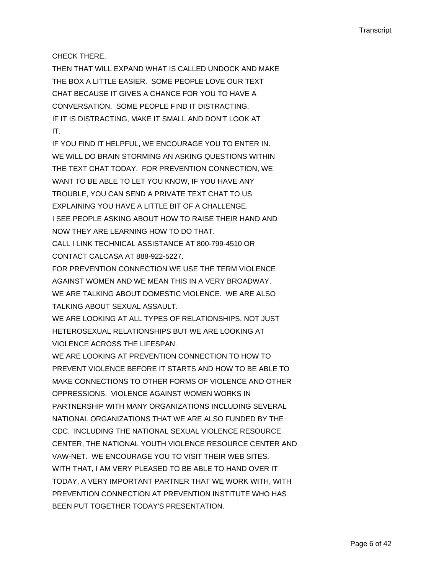CHECK THERE.

THEN THAT WILL EXPAND WHAT IS CALLED UNDOCK AND MAKE THE BOX A LITTLE EASIER. SOME PEOPLE LOVE OUR TEXT CHAT BECAUSE IT GIVES A CHANCE FOR YOU TO HAVE A CONVERSATION. SOME PEOPLE FIND IT DISTRACTING. IF IT IS DISTRACTING, MAKE IT SMALL AND DON'T LOOK AT IT.

IF YOU FIND IT HELPFUL, WE ENCOURAGE YOU TO ENTER IN. WE WILL DO BRAIN STORMING AN ASKING QUESTIONS WITHIN THE TEXT CHAT TODAY. FOR PREVENTION CONNECTION, WE WANT TO BE ABLE TO LET YOU KNOW, IF YOU HAVE ANY TROUBLE, YOU CAN SEND A PRIVATE TEXT CHAT TO US EXPLAINING YOU HAVE A LITTLE BIT OF A CHALLENGE. I SEE PEOPLE ASKING ABOUT HOW TO RAISE THEIR HAND AND NOW THEY ARE LEARNING HOW TO DO THAT. CALL I LINK TECHNICAL ASSISTANCE AT 800-799-4510 OR

CONTACT CALCASA AT 888-922-5227.

FOR PREVENTION CONNECTION WE USE THE TERM VIOLENCE AGAINST WOMEN AND WE MEAN THIS IN A VERY BROADWAY. WE ARE TALKING ABOUT DOMESTIC VIOLENCE. WE ARE ALSO TALKING ABOUT SEXUAL ASSAULT.

WE ARE LOOKING AT ALL TYPES OF RELATIONSHIPS, NOT JUST HETEROSEXUAL RELATIONSHIPS BUT WE ARE LOOKING AT VIOLENCE ACROSS THE LIFESPAN.

WE ARE LOOKING AT PREVENTION CONNECTION TO HOW TO PREVENT VIOLENCE BEFORE IT STARTS AND HOW TO BE ABLE TO MAKE CONNECTIONS TO OTHER FORMS OF VIOLENCE AND OTHER OPPRESSIONS. VIOLENCE AGAINST WOMEN WORKS IN PARTNERSHIP WITH MANY ORGANIZATIONS INCLUDING SEVERAL NATIONAL ORGANIZATIONS THAT WE ARE ALSO FUNDED BY THE CDC. INCLUDING THE NATIONAL SEXUAL VIOLENCE RESOURCE CENTER, THE NATIONAL YOUTH VIOLENCE RESOURCE CENTER AND VAW-NET. WE ENCOURAGE YOU TO VISIT THEIR WEB SITES. WITH THAT, I AM VERY PLEASED TO BE ABLE TO HAND OVER IT TODAY, A VERY IMPORTANT PARTNER THAT WE WORK WITH, WITH PREVENTION CONNECTION AT PREVENTION INSTITUTE WHO HAS BEEN PUT TOGETHER TODAY'S PRESENTATION.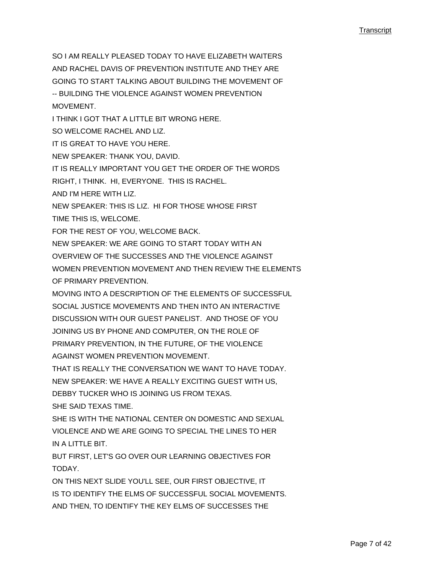SO I AM REALLY PLEASED TODAY TO HAVE ELIZABETH WAITERS AND RACHEL DAVIS OF PREVENTION INSTITUTE AND THEY ARE GOING TO START TALKING ABOUT BUILDING THE MOVEMENT OF -- BUILDING THE VIOLENCE AGAINST WOMEN PREVENTION **MOVEMENT** I THINK I GOT THAT A LITTLE BIT WRONG HERE. SO WELCOME RACHEL AND LIZ. IT IS GREAT TO HAVE YOU HERE. NEW SPEAKER: THANK YOU, DAVID. IT IS REALLY IMPORTANT YOU GET THE ORDER OF THE WORDS RIGHT, I THINK. HI, EVERYONE. THIS IS RACHEL. AND I'M HERE WITH LIZ. NEW SPEAKER: THIS IS LIZ. HI FOR THOSE WHOSE FIRST TIME THIS IS, WELCOME. FOR THE REST OF YOU, WELCOME BACK. NEW SPEAKER: WE ARE GOING TO START TODAY WITH AN OVERVIEW OF THE SUCCESSES AND THE VIOLENCE AGAINST WOMEN PREVENTION MOVEMENT AND THEN REVIEW THE ELEMENTS OF PRIMARY PREVENTION. MOVING INTO A DESCRIPTION OF THE ELEMENTS OF SUCCESSFUL SOCIAL JUSTICE MOVEMENTS AND THEN INTO AN INTERACTIVE DISCUSSION WITH OUR GUEST PANELIST. AND THOSE OF YOU JOINING US BY PHONE AND COMPUTER, ON THE ROLE OF PRIMARY PREVENTION, IN THE FUTURE, OF THE VIOLENCE AGAINST WOMEN PREVENTION MOVEMENT. THAT IS REALLY THE CONVERSATION WE WANT TO HAVE TODAY. NEW SPEAKER: WE HAVE A REALLY EXCITING GUEST WITH US, DEBBY TUCKER WHO IS JOINING US FROM TEXAS. SHE SAID TEXAS TIME. SHE IS WITH THE NATIONAL CENTER ON DOMESTIC AND SEXUAL VIOLENCE AND WE ARE GOING TO SPECIAL THE LINES TO HER IN A LITTLE BIT. BUT FIRST, LET'S GO OVER OUR LEARNING OBJECTIVES FOR TODAY. ON THIS NEXT SLIDE YOU'LL SEE, OUR FIRST OBJECTIVE, IT

IS TO IDENTIFY THE ELMS OF SUCCESSFUL SOCIAL MOVEMENTS. AND THEN, TO IDENTIFY THE KEY ELMS OF SUCCESSES THE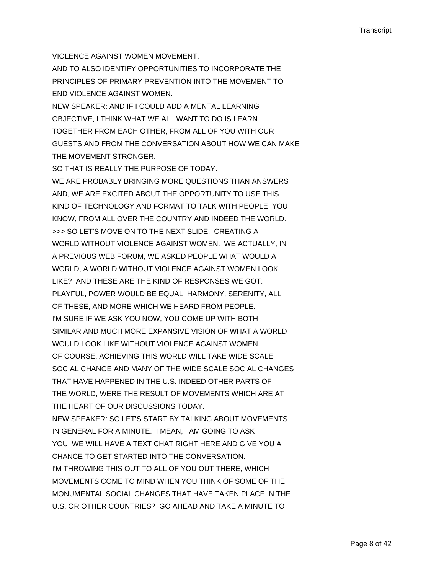VIOLENCE AGAINST WOMEN MOVEMENT.

AND TO ALSO IDENTIFY OPPORTUNITIES TO INCORPORATE THE PRINCIPLES OF PRIMARY PREVENTION INTO THE MOVEMENT TO END VIOLENCE AGAINST WOMEN.

NEW SPEAKER: AND IF I COULD ADD A MENTAL LEARNING OBJECTIVE, I THINK WHAT WE ALL WANT TO DO IS LEARN TOGETHER FROM EACH OTHER, FROM ALL OF YOU WITH OUR GUESTS AND FROM THE CONVERSATION ABOUT HOW WE CAN MAKE THE MOVEMENT STRONGER.

SO THAT IS REALLY THE PURPOSE OF TODAY.

WE ARE PROBABLY BRINGING MORE QUESTIONS THAN ANSWERS AND, WE ARE EXCITED ABOUT THE OPPORTUNITY TO USE THIS KIND OF TECHNOLOGY AND FORMAT TO TALK WITH PEOPLE, YOU KNOW, FROM ALL OVER THE COUNTRY AND INDEED THE WORLD. >>> SO LET'S MOVE ON TO THE NEXT SLIDE. CREATING A WORLD WITHOUT VIOLENCE AGAINST WOMEN. WE ACTUALLY, IN A PREVIOUS WEB FORUM, WE ASKED PEOPLE WHAT WOULD A WORLD, A WORLD WITHOUT VIOLENCE AGAINST WOMEN LOOK LIKE? AND THESE ARE THE KIND OF RESPONSES WE GOT: PLAYFUL, POWER WOULD BE EQUAL, HARMONY, SERENITY, ALL OF THESE, AND MORE WHICH WE HEARD FROM PEOPLE. I'M SURE IF WE ASK YOU NOW, YOU COME UP WITH BOTH SIMILAR AND MUCH MORE EXPANSIVE VISION OF WHAT A WORLD WOULD LOOK LIKE WITHOUT VIOLENCE AGAINST WOMEN. OF COURSE, ACHIEVING THIS WORLD WILL TAKE WIDE SCALE SOCIAL CHANGE AND MANY OF THE WIDE SCALE SOCIAL CHANGES THAT HAVE HAPPENED IN THE U.S. INDEED OTHER PARTS OF THE WORLD, WERE THE RESULT OF MOVEMENTS WHICH ARE AT THE HEART OF OUR DISCUSSIONS TODAY. NEW SPEAKER: SO LET'S START BY TALKING ABOUT MOVEMENTS IN GENERAL FOR A MINUTE. I MEAN, I AM GOING TO ASK YOU, WE WILL HAVE A TEXT CHAT RIGHT HERE AND GIVE YOU A CHANCE TO GET STARTED INTO THE CONVERSATION. I'M THROWING THIS OUT TO ALL OF YOU OUT THERE, WHICH MOVEMENTS COME TO MIND WHEN YOU THINK OF SOME OF THE MONUMENTAL SOCIAL CHANGES THAT HAVE TAKEN PLACE IN THE U.S. OR OTHER COUNTRIES? GO AHEAD AND TAKE A MINUTE TO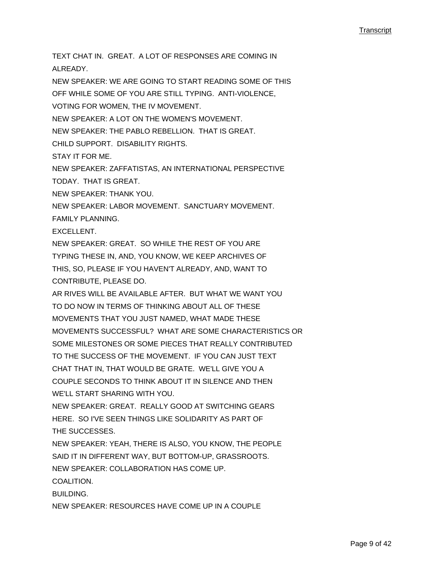TEXT CHAT IN. GREAT. A LOT OF RESPONSES ARE COMING IN ALREADY. NEW SPEAKER: WE ARE GOING TO START READING SOME OF THIS OFF WHILE SOME OF YOU ARE STILL TYPING. ANTI-VIOLENCE, VOTING FOR WOMEN, THE IV MOVEMENT. NEW SPEAKER: A LOT ON THE WOMEN'S MOVEMENT. NEW SPEAKER: THE PABLO REBELLION. THAT IS GREAT. CHILD SUPPORT. DISABILITY RIGHTS. STAY IT FOR ME. NEW SPEAKER: ZAFFATISTAS, AN INTERNATIONAL PERSPECTIVE TODAY. THAT IS GREAT. NEW SPEAKER: THANK YOU. NEW SPEAKER: LABOR MOVEMENT. SANCTUARY MOVEMENT. FAMILY PLANNING. EXCELLENT. NEW SPEAKER: GREAT. SO WHILE THE REST OF YOU ARE TYPING THESE IN, AND, YOU KNOW, WE KEEP ARCHIVES OF THIS, SO, PLEASE IF YOU HAVEN'T ALREADY, AND, WANT TO CONTRIBUTE, PLEASE DO. AR RIVES WILL BE AVAILABLE AFTER. BUT WHAT WE WANT YOU TO DO NOW IN TERMS OF THINKING ABOUT ALL OF THESE MOVEMENTS THAT YOU JUST NAMED, WHAT MADE THESE MOVEMENTS SUCCESSFUL? WHAT ARE SOME CHARACTERISTICS OR SOME MILESTONES OR SOME PIECES THAT REALLY CONTRIBUTED TO THE SUCCESS OF THE MOVEMENT. IF YOU CAN JUST TEXT CHAT THAT IN, THAT WOULD BE GRATE. WE'LL GIVE YOU A COUPLE SECONDS TO THINK ABOUT IT IN SILENCE AND THEN WE'LL START SHARING WITH YOU. NEW SPEAKER: GREAT. REALLY GOOD AT SWITCHING GEARS HERE. SO I'VE SEEN THINGS LIKE SOLIDARITY AS PART OF THE SUCCESSES. NEW SPEAKER: YEAH, THERE IS ALSO, YOU KNOW, THE PEOPLE SAID IT IN DIFFERENT WAY, BUT BOTTOM-UP, GRASSROOTS. NEW SPEAKER: COLLABORATION HAS COME UP. COALITION. BUILDING. NEW SPEAKER: RESOURCES HAVE COME UP IN A COUPLE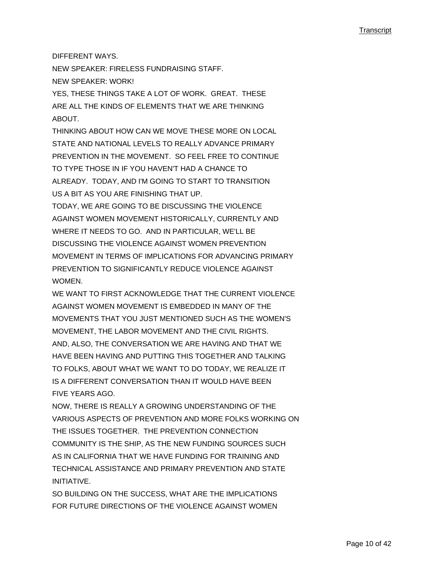DIFFERENT WAYS.

NEW SPEAKER: FIRELESS FUNDRAISING STAFF.

NEW SPEAKER: WORK!

YES, THESE THINGS TAKE A LOT OF WORK. GREAT. THESE ARE ALL THE KINDS OF ELEMENTS THAT WE ARE THINKING **ABOUT.** 

THINKING ABOUT HOW CAN WE MOVE THESE MORE ON LOCAL STATE AND NATIONAL LEVELS TO REALLY ADVANCE PRIMARY PREVENTION IN THE MOVEMENT. SO FEEL FREE TO CONTINUE TO TYPE THOSE IN IF YOU HAVEN'T HAD A CHANCE TO ALREADY. TODAY, AND I'M GOING TO START TO TRANSITION US A BIT AS YOU ARE FINISHING THAT UP.

TODAY, WE ARE GOING TO BE DISCUSSING THE VIOLENCE AGAINST WOMEN MOVEMENT HISTORICALLY, CURRENTLY AND WHERE IT NEEDS TO GO. AND IN PARTICULAR, WE'LL BE DISCUSSING THE VIOLENCE AGAINST WOMEN PREVENTION MOVEMENT IN TERMS OF IMPLICATIONS FOR ADVANCING PRIMARY PREVENTION TO SIGNIFICANTLY REDUCE VIOLENCE AGAINST **WOMEN** 

WE WANT TO FIRST ACKNOWLEDGE THAT THE CURRENT VIOLENCE AGAINST WOMEN MOVEMENT IS EMBEDDED IN MANY OF THE MOVEMENTS THAT YOU JUST MENTIONED SUCH AS THE WOMEN'S MOVEMENT, THE LABOR MOVEMENT AND THE CIVIL RIGHTS. AND, ALSO, THE CONVERSATION WE ARE HAVING AND THAT WE HAVE BEEN HAVING AND PUTTING THIS TOGETHER AND TALKING TO FOLKS, ABOUT WHAT WE WANT TO DO TODAY, WE REALIZE IT IS A DIFFERENT CONVERSATION THAN IT WOULD HAVE BEEN FIVE YEARS AGO.

NOW, THERE IS REALLY A GROWING UNDERSTANDING OF THE VARIOUS ASPECTS OF PREVENTION AND MORE FOLKS WORKING ON THE ISSUES TOGETHER. THE PREVENTION CONNECTION COMMUNITY IS THE SHIP, AS THE NEW FUNDING SOURCES SUCH AS IN CALIFORNIA THAT WE HAVE FUNDING FOR TRAINING AND TECHNICAL ASSISTANCE AND PRIMARY PREVENTION AND STATE INITIATIVE.

SO BUILDING ON THE SUCCESS, WHAT ARE THE IMPLICATIONS FOR FUTURE DIRECTIONS OF THE VIOLENCE AGAINST WOMEN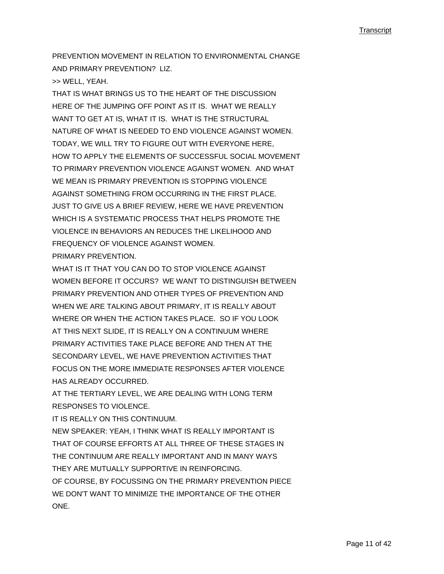PREVENTION MOVEMENT IN RELATION TO ENVIRONMENTAL CHANGE AND PRIMARY PREVENTION? LIZ.

>> WELL, YEAH.

THAT IS WHAT BRINGS US TO THE HEART OF THE DISCUSSION HERE OF THE JUMPING OFF POINT AS IT IS. WHAT WE REALLY WANT TO GET AT IS, WHAT IT IS. WHAT IS THE STRUCTURAL NATURE OF WHAT IS NEEDED TO END VIOLENCE AGAINST WOMEN. TODAY, WE WILL TRY TO FIGURE OUT WITH EVERYONE HERE, HOW TO APPLY THE ELEMENTS OF SUCCESSFUL SOCIAL MOVEMENT TO PRIMARY PREVENTION VIOLENCE AGAINST WOMEN. AND WHAT WE MEAN IS PRIMARY PREVENTION IS STOPPING VIOLENCE AGAINST SOMETHING FROM OCCURRING IN THE FIRST PLACE. JUST TO GIVE US A BRIEF REVIEW, HERE WE HAVE PREVENTION WHICH IS A SYSTEMATIC PROCESS THAT HELPS PROMOTE THE VIOLENCE IN BEHAVIORS AN REDUCES THE LIKELIHOOD AND FREQUENCY OF VIOLENCE AGAINST WOMEN. PRIMARY PREVENTION.

WHAT IS IT THAT YOU CAN DO TO STOP VIOLENCE AGAINST WOMEN BEFORE IT OCCURS? WE WANT TO DISTINGUISH BETWEEN PRIMARY PREVENTION AND OTHER TYPES OF PREVENTION AND WHEN WE ARE TALKING ABOUT PRIMARY, IT IS REALLY ABOUT WHERE OR WHEN THE ACTION TAKES PLACE. SO IF YOU LOOK AT THIS NEXT SLIDE, IT IS REALLY ON A CONTINUUM WHERE PRIMARY ACTIVITIES TAKE PLACE BEFORE AND THEN AT THE SECONDARY LEVEL, WE HAVE PREVENTION ACTIVITIES THAT FOCUS ON THE MORE IMMEDIATE RESPONSES AFTER VIOLENCE HAS ALREADY OCCURRED.

AT THE TERTIARY LEVEL, WE ARE DEALING WITH LONG TERM RESPONSES TO VIOLENCE.

IT IS REALLY ON THIS CONTINUUM.

NEW SPEAKER: YEAH, I THINK WHAT IS REALLY IMPORTANT IS THAT OF COURSE EFFORTS AT ALL THREE OF THESE STAGES IN THE CONTINUUM ARE REALLY IMPORTANT AND IN MANY WAYS THEY ARE MUTUALLY SUPPORTIVE IN REINFORCING. OF COURSE, BY FOCUSSING ON THE PRIMARY PREVENTION PIECE WE DON'T WANT TO MINIMIZE THE IMPORTANCE OF THE OTHER ONE.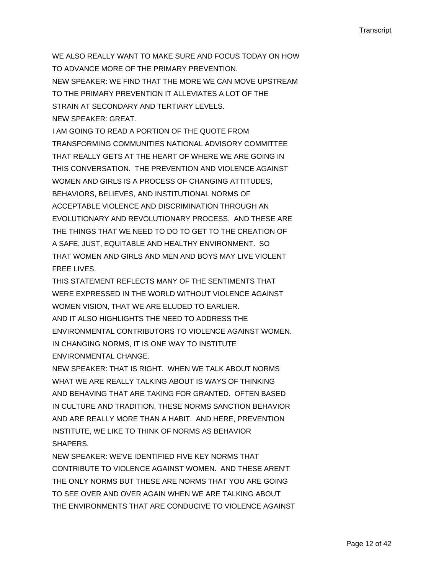WE ALSO REALLY WANT TO MAKE SURE AND FOCUS TODAY ON HOW TO ADVANCE MORE OF THE PRIMARY PREVENTION. NEW SPEAKER: WE FIND THAT THE MORE WE CAN MOVE UPSTREAM TO THE PRIMARY PREVENTION IT ALLEVIATES A LOT OF THE STRAIN AT SECONDARY AND TERTIARY LEVELS. NEW SPEAKER: GREAT.

I AM GOING TO READ A PORTION OF THE QUOTE FROM TRANSFORMING COMMUNITIES NATIONAL ADVISORY COMMITTEE THAT REALLY GETS AT THE HEART OF WHERE WE ARE GOING IN THIS CONVERSATION. THE PREVENTION AND VIOLENCE AGAINST WOMEN AND GIRLS IS A PROCESS OF CHANGING ATTITUDES, BEHAVIORS, BELIEVES, AND INSTITUTIONAL NORMS OF ACCEPTABLE VIOLENCE AND DISCRIMINATION THROUGH AN EVOLUTIONARY AND REVOLUTIONARY PROCESS. AND THESE ARE THE THINGS THAT WE NEED TO DO TO GET TO THE CREATION OF A SAFE, JUST, EQUITABLE AND HEALTHY ENVIRONMENT. SO THAT WOMEN AND GIRLS AND MEN AND BOYS MAY LIVE VIOLENT FREE LIVES.

THIS STATEMENT REFLECTS MANY OF THE SENTIMENTS THAT WERE EXPRESSED IN THE WORLD WITHOUT VIOLENCE AGAINST WOMEN VISION, THAT WE ARE ELUDED TO EARLIER. AND IT ALSO HIGHLIGHTS THE NEED TO ADDRESS THE ENVIRONMENTAL CONTRIBUTORS TO VIOLENCE AGAINST WOMEN. IN CHANGING NORMS, IT IS ONE WAY TO INSTITUTE ENVIRONMENTAL CHANGE.

NEW SPEAKER: THAT IS RIGHT. WHEN WE TALK ABOUT NORMS WHAT WE ARE REALLY TALKING ABOUT IS WAYS OF THINKING AND BEHAVING THAT ARE TAKING FOR GRANTED. OFTEN BASED IN CULTURE AND TRADITION, THESE NORMS SANCTION BEHAVIOR AND ARE REALLY MORE THAN A HABIT. AND HERE, PREVENTION INSTITUTE, WE LIKE TO THINK OF NORMS AS BEHAVIOR SHAPERS.

NEW SPEAKER: WE'VE IDENTIFIED FIVE KEY NORMS THAT CONTRIBUTE TO VIOLENCE AGAINST WOMEN. AND THESE AREN'T THE ONLY NORMS BUT THESE ARE NORMS THAT YOU ARE GOING TO SEE OVER AND OVER AGAIN WHEN WE ARE TALKING ABOUT THE ENVIRONMENTS THAT ARE CONDUCIVE TO VIOLENCE AGAINST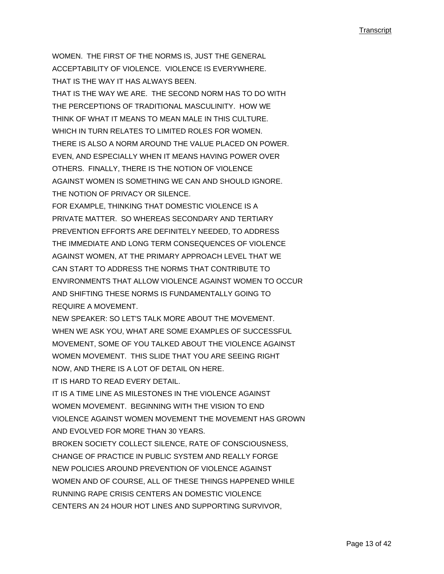WOMEN. THE FIRST OF THE NORMS IS, JUST THE GENERAL ACCEPTABILITY OF VIOLENCE. VIOLENCE IS EVERYWHERE. THAT IS THE WAY IT HAS ALWAYS BEEN.

THAT IS THE WAY WE ARE. THE SECOND NORM HAS TO DO WITH THE PERCEPTIONS OF TRADITIONAL MASCULINITY. HOW WE THINK OF WHAT IT MEANS TO MEAN MALE IN THIS CULTURE. WHICH IN TURN RELATES TO LIMITED ROLES FOR WOMEN. THERE IS ALSO A NORM AROUND THE VALUE PLACED ON POWER. EVEN, AND ESPECIALLY WHEN IT MEANS HAVING POWER OVER OTHERS. FINALLY, THERE IS THE NOTION OF VIOLENCE AGAINST WOMEN IS SOMETHING WE CAN AND SHOULD IGNORE. THE NOTION OF PRIVACY OR SILENCE.

FOR EXAMPLE, THINKING THAT DOMESTIC VIOLENCE IS A PRIVATE MATTER. SO WHEREAS SECONDARY AND TERTIARY PREVENTION EFFORTS ARE DEFINITELY NEEDED, TO ADDRESS THE IMMEDIATE AND LONG TERM CONSEQUENCES OF VIOLENCE AGAINST WOMEN, AT THE PRIMARY APPROACH LEVEL THAT WE CAN START TO ADDRESS THE NORMS THAT CONTRIBUTE TO ENVIRONMENTS THAT ALLOW VIOLENCE AGAINST WOMEN TO OCCUR AND SHIFTING THESE NORMS IS FUNDAMENTALLY GOING TO REQUIRE A MOVEMENT.

NEW SPEAKER: SO LET'S TALK MORE ABOUT THE MOVEMENT. WHEN WE ASK YOU, WHAT ARE SOME EXAMPLES OF SUCCESSFUL MOVEMENT, SOME OF YOU TALKED ABOUT THE VIOLENCE AGAINST WOMEN MOVEMENT. THIS SLIDE THAT YOU ARE SEEING RIGHT NOW, AND THERE IS A LOT OF DETAIL ON HERE.

IT IS HARD TO READ EVERY DETAIL.

IT IS A TIME LINE AS MILESTONES IN THE VIOLENCE AGAINST WOMEN MOVEMENT. BEGINNING WITH THE VISION TO END VIOLENCE AGAINST WOMEN MOVEMENT THE MOVEMENT HAS GROWN AND EVOLVED FOR MORE THAN 30 YEARS.

BROKEN SOCIETY COLLECT SILENCE, RATE OF CONSCIOUSNESS, CHANGE OF PRACTICE IN PUBLIC SYSTEM AND REALLY FORGE NEW POLICIES AROUND PREVENTION OF VIOLENCE AGAINST WOMEN AND OF COURSE, ALL OF THESE THINGS HAPPENED WHILE RUNNING RAPE CRISIS CENTERS AN DOMESTIC VIOLENCE CENTERS AN 24 HOUR HOT LINES AND SUPPORTING SURVIVOR,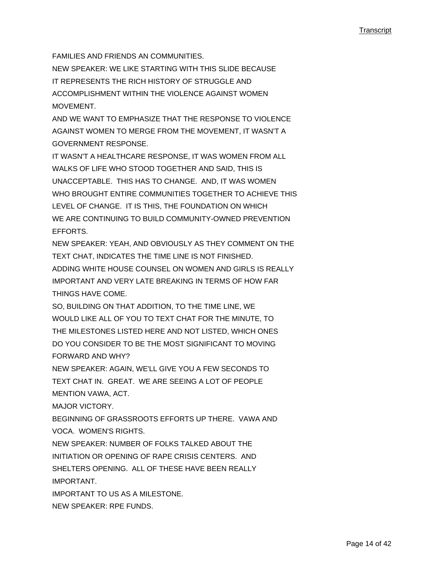FAMILIES AND FRIENDS AN COMMUNITIES.

NEW SPEAKER: WE LIKE STARTING WITH THIS SLIDE BECAUSE IT REPRESENTS THE RICH HISTORY OF STRUGGLE AND ACCOMPLISHMENT WITHIN THE VIOLENCE AGAINST WOMEN **MOVEMENT** 

AND WE WANT TO EMPHASIZE THAT THE RESPONSE TO VIOLENCE AGAINST WOMEN TO MERGE FROM THE MOVEMENT, IT WASN'T A GOVERNMENT RESPONSE.

IT WASN'T A HEALTHCARE RESPONSE, IT WAS WOMEN FROM ALL WALKS OF LIFE WHO STOOD TOGETHER AND SAID, THIS IS UNACCEPTABLE. THIS HAS TO CHANGE. AND, IT WAS WOMEN WHO BROUGHT ENTIRE COMMUNITIES TOGETHER TO ACHIEVE THIS LEVEL OF CHANGE. IT IS THIS, THE FOUNDATION ON WHICH WE ARE CONTINUING TO BUILD COMMUNITY-OWNED PREVENTION EFFORTS.

NEW SPEAKER: YEAH, AND OBVIOUSLY AS THEY COMMENT ON THE TEXT CHAT, INDICATES THE TIME LINE IS NOT FINISHED. ADDING WHITE HOUSE COUNSEL ON WOMEN AND GIRLS IS REALLY IMPORTANT AND VERY LATE BREAKING IN TERMS OF HOW FAR THINGS HAVE COME.

SO, BUILDING ON THAT ADDITION, TO THE TIME LINE, WE WOULD LIKE ALL OF YOU TO TEXT CHAT FOR THE MINUTE, TO THE MILESTONES LISTED HERE AND NOT LISTED, WHICH ONES DO YOU CONSIDER TO BE THE MOST SIGNIFICANT TO MOVING FORWARD AND WHY?

NEW SPEAKER: AGAIN, WE'LL GIVE YOU A FEW SECONDS TO TEXT CHAT IN. GREAT. WE ARE SEEING A LOT OF PEOPLE MENTION VAWA, ACT.

MAJOR VICTORY.

BEGINNING OF GRASSROOTS EFFORTS UP THERE. VAWA AND VOCA. WOMEN'S RIGHTS.

NEW SPEAKER: NUMBER OF FOLKS TALKED ABOUT THE INITIATION OR OPENING OF RAPE CRISIS CENTERS. AND SHELTERS OPENING. ALL OF THESE HAVE BEEN REALLY IMPORTANT.

IMPORTANT TO US AS A MILESTONE. NEW SPEAKER: RPE FUNDS.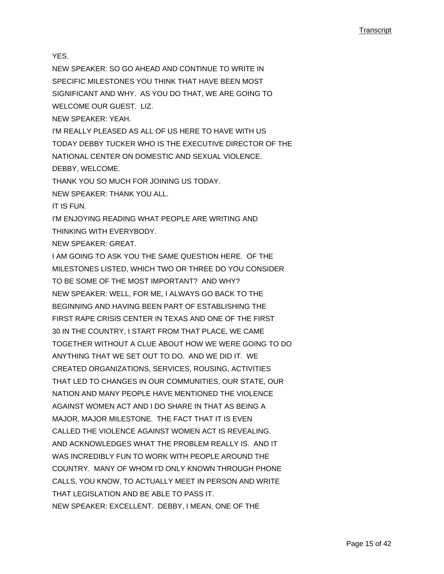YES.

NEW SPEAKER: SO GO AHEAD AND CONTINUE TO WRITE IN SPECIFIC MILESTONES YOU THINK THAT HAVE BEEN MOST SIGNIFICANT AND WHY. AS YOU DO THAT, WE ARE GOING TO WELCOME OUR GUEST. LIZ.

NEW SPEAKER: YEAH.

I'M REALLY PLEASED AS ALL OF US HERE TO HAVE WITH US TODAY DEBBY TUCKER WHO IS THE EXECUTIVE DIRECTOR OF THE NATIONAL CENTER ON DOMESTIC AND SEXUAL VIOLENCE. DEBBY, WELCOME.

THANK YOU SO MUCH FOR JOINING US TODAY.

NEW SPEAKER: THANK YOU ALL.

IT IS FUN.

I'M ENJOYING READING WHAT PEOPLE ARE WRITING AND THINKING WITH EVERYBODY.

NEW SPEAKER: GREAT.

I AM GOING TO ASK YOU THE SAME QUESTION HERE. OF THE MILESTONES LISTED, WHICH TWO OR THREE DO YOU CONSIDER TO BE SOME OF THE MOST IMPORTANT? AND WHY? NEW SPEAKER: WELL, FOR ME, I ALWAYS GO BACK TO THE BEGINNING AND HAVING BEEN PART OF ESTABLISHING THE FIRST RAPE CRISIS CENTER IN TEXAS AND ONE OF THE FIRST 30 IN THE COUNTRY, I START FROM THAT PLACE, WE CAME TOGETHER WITHOUT A CLUE ABOUT HOW WE WERE GOING TO DO ANYTHING THAT WE SET OUT TO DO. AND WE DID IT. WE CREATED ORGANIZATIONS, SERVICES, ROUSING, ACTIVITIES THAT LED TO CHANGES IN OUR COMMUNITIES, OUR STATE, OUR NATION AND MANY PEOPLE HAVE MENTIONED THE VIOLENCE AGAINST WOMEN ACT AND I DO SHARE IN THAT AS BEING A MAJOR, MAJOR MILESTONE. THE FACT THAT IT IS EVEN CALLED THE VIOLENCE AGAINST WOMEN ACT IS REVEALING. AND ACKNOWLEDGES WHAT THE PROBLEM REALLY IS. AND IT WAS INCREDIBLY FUN TO WORK WITH PEOPLE AROUND THE COUNTRY. MANY OF WHOM I'D ONLY KNOWN THROUGH PHONE CALLS, YOU KNOW, TO ACTUALLY MEET IN PERSON AND WRITE THAT LEGISLATION AND BE ABLE TO PASS IT. NEW SPEAKER: EXCELLENT. DEBBY, I MEAN, ONE OF THE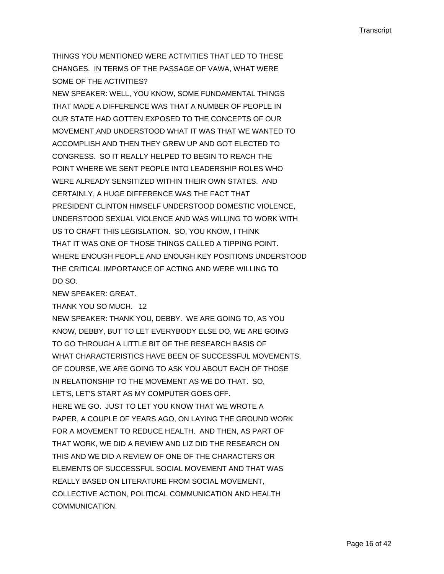THINGS YOU MENTIONED WERE ACTIVITIES THAT LED TO THESE CHANGES. IN TERMS OF THE PASSAGE OF VAWA, WHAT WERE SOME OF THE ACTIVITIES?

NEW SPEAKER: WELL, YOU KNOW, SOME FUNDAMENTAL THINGS THAT MADE A DIFFERENCE WAS THAT A NUMBER OF PEOPLE IN OUR STATE HAD GOTTEN EXPOSED TO THE CONCEPTS OF OUR MOVEMENT AND UNDERSTOOD WHAT IT WAS THAT WE WANTED TO ACCOMPLISH AND THEN THEY GREW UP AND GOT ELECTED TO CONGRESS. SO IT REALLY HELPED TO BEGIN TO REACH THE POINT WHERE WE SENT PEOPLE INTO LEADERSHIP ROLES WHO WERE ALREADY SENSITIZED WITHIN THEIR OWN STATES. AND CERTAINLY, A HUGE DIFFERENCE WAS THE FACT THAT PRESIDENT CLINTON HIMSELF UNDERSTOOD DOMESTIC VIOLENCE, UNDERSTOOD SEXUAL VIOLENCE AND WAS WILLING TO WORK WITH US TO CRAFT THIS LEGISLATION. SO, YOU KNOW, I THINK THAT IT WAS ONE OF THOSE THINGS CALLED A TIPPING POINT. WHERE ENOUGH PEOPLE AND ENOUGH KEY POSITIONS UNDERSTOOD THE CRITICAL IMPORTANCE OF ACTING AND WERE WILLING TO DO SO.

NEW SPEAKER: GREAT.

THANK YOU SO MUCH. 12

NEW SPEAKER: THANK YOU, DEBBY. WE ARE GOING TO, AS YOU KNOW, DEBBY, BUT TO LET EVERYBODY ELSE DO, WE ARE GOING TO GO THROUGH A LITTLE BIT OF THE RESEARCH BASIS OF WHAT CHARACTERISTICS HAVE BEEN OF SUCCESSFUL MOVEMENTS. OF COURSE, WE ARE GOING TO ASK YOU ABOUT EACH OF THOSE IN RELATIONSHIP TO THE MOVEMENT AS WE DO THAT. SO, LET'S, LET'S START AS MY COMPUTER GOES OFF. HERE WE GO. JUST TO LET YOU KNOW THAT WE WROTE A PAPER, A COUPLE OF YEARS AGO, ON LAYING THE GROUND WORK FOR A MOVEMENT TO REDUCE HEALTH. AND THEN, AS PART OF THAT WORK, WE DID A REVIEW AND LIZ DID THE RESEARCH ON THIS AND WE DID A REVIEW OF ONE OF THE CHARACTERS OR ELEMENTS OF SUCCESSFUL SOCIAL MOVEMENT AND THAT WAS REALLY BASED ON LITERATURE FROM SOCIAL MOVEMENT, COLLECTIVE ACTION, POLITICAL COMMUNICATION AND HEALTH COMMUNICATION.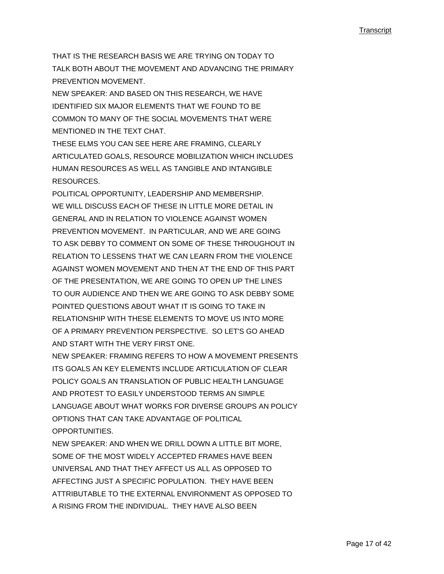THAT IS THE RESEARCH BASIS WE ARE TRYING ON TODAY TO TALK BOTH ABOUT THE MOVEMENT AND ADVANCING THE PRIMARY PREVENTION MOVEMENT.

NEW SPEAKER: AND BASED ON THIS RESEARCH, WE HAVE IDENTIFIED SIX MAJOR ELEMENTS THAT WE FOUND TO BE COMMON TO MANY OF THE SOCIAL MOVEMENTS THAT WERE MENTIONED IN THE TEXT CHAT.

THESE ELMS YOU CAN SEE HERE ARE FRAMING, CLEARLY ARTICULATED GOALS, RESOURCE MOBILIZATION WHICH INCLUDES HUMAN RESOURCES AS WELL AS TANGIBLE AND INTANGIBLE RESOURCES.

POLITICAL OPPORTUNITY, LEADERSHIP AND MEMBERSHIP. WE WILL DISCUSS EACH OF THESE IN LITTLE MORE DETAIL IN GENERAL AND IN RELATION TO VIOLENCE AGAINST WOMEN PREVENTION MOVEMENT. IN PARTICULAR, AND WE ARE GOING TO ASK DEBBY TO COMMENT ON SOME OF THESE THROUGHOUT IN RELATION TO LESSENS THAT WE CAN LEARN FROM THE VIOLENCE AGAINST WOMEN MOVEMENT AND THEN AT THE END OF THIS PART OF THE PRESENTATION, WE ARE GOING TO OPEN UP THE LINES TO OUR AUDIENCE AND THEN WE ARE GOING TO ASK DEBBY SOME POINTED QUESTIONS ABOUT WHAT IT IS GOING TO TAKE IN RELATIONSHIP WITH THESE ELEMENTS TO MOVE US INTO MORE OF A PRIMARY PREVENTION PERSPECTIVE. SO LET'S GO AHEAD AND START WITH THE VERY FIRST ONE.

NEW SPEAKER: FRAMING REFERS TO HOW A MOVEMENT PRESENTS ITS GOALS AN KEY ELEMENTS INCLUDE ARTICULATION OF CLEAR POLICY GOALS AN TRANSLATION OF PUBLIC HEALTH LANGUAGE AND PROTEST TO EASILY UNDERSTOOD TERMS AN SIMPLE LANGUAGE ABOUT WHAT WORKS FOR DIVERSE GROUPS AN POLICY OPTIONS THAT CAN TAKE ADVANTAGE OF POLITICAL OPPORTUNITIES.

NEW SPEAKER: AND WHEN WE DRILL DOWN A LITTLE BIT MORE, SOME OF THE MOST WIDELY ACCEPTED FRAMES HAVE BEEN UNIVERSAL AND THAT THEY AFFECT US ALL AS OPPOSED TO AFFECTING JUST A SPECIFIC POPULATION. THEY HAVE BEEN ATTRIBUTABLE TO THE EXTERNAL ENVIRONMENT AS OPPOSED TO A RISING FROM THE INDIVIDUAL. THEY HAVE ALSO BEEN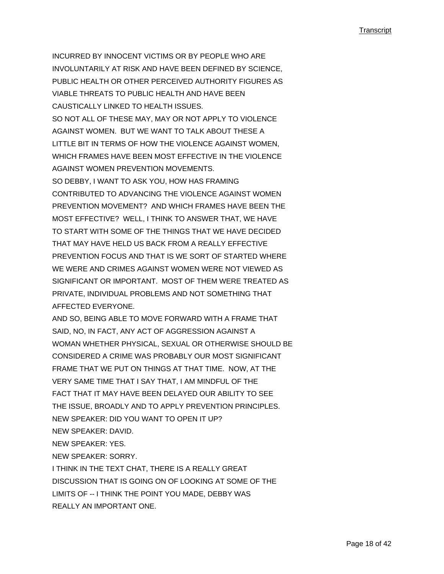INCURRED BY INNOCENT VICTIMS OR BY PEOPLE WHO ARE INVOLUNTARILY AT RISK AND HAVE BEEN DEFINED BY SCIENCE, PUBLIC HEALTH OR OTHER PERCEIVED AUTHORITY FIGURES AS VIABLE THREATS TO PUBLIC HEALTH AND HAVE BEEN CAUSTICALLY LINKED TO HEALTH ISSUES. SO NOT ALL OF THESE MAY, MAY OR NOT APPLY TO VIOLENCE AGAINST WOMEN. BUT WE WANT TO TALK ABOUT THESE A LITTLE BIT IN TERMS OF HOW THE VIOLENCE AGAINST WOMEN, WHICH FRAMES HAVE BEEN MOST EFFECTIVE IN THE VIOLENCE AGAINST WOMEN PREVENTION MOVEMENTS. SO DEBBY, I WANT TO ASK YOU, HOW HAS FRAMING CONTRIBUTED TO ADVANCING THE VIOLENCE AGAINST WOMEN PREVENTION MOVEMENT? AND WHICH FRAMES HAVE BEEN THE MOST EFFECTIVE? WELL, I THINK TO ANSWER THAT, WE HAVE TO START WITH SOME OF THE THINGS THAT WE HAVE DECIDED THAT MAY HAVE HELD US BACK FROM A REALLY EFFECTIVE PREVENTION FOCUS AND THAT IS WE SORT OF STARTED WHERE WE WERE AND CRIMES AGAINST WOMEN WERE NOT VIEWED AS SIGNIFICANT OR IMPORTANT. MOST OF THEM WERE TREATED AS PRIVATE, INDIVIDUAL PROBLEMS AND NOT SOMETHING THAT

AFFECTED EVERYONE.

AND SO, BEING ABLE TO MOVE FORWARD WITH A FRAME THAT SAID, NO, IN FACT, ANY ACT OF AGGRESSION AGAINST A WOMAN WHETHER PHYSICAL, SEXUAL OR OTHERWISE SHOULD BE CONSIDERED A CRIME WAS PROBABLY OUR MOST SIGNIFICANT FRAME THAT WE PUT ON THINGS AT THAT TIME. NOW, AT THE VERY SAME TIME THAT I SAY THAT, I AM MINDFUL OF THE FACT THAT IT MAY HAVE BEEN DELAYED OUR ABILITY TO SEE THE ISSUE, BROADLY AND TO APPLY PREVENTION PRINCIPLES. NEW SPEAKER: DID YOU WANT TO OPEN IT UP? NEW SPEAKER: DAVID.

NEW SPEAKER: YES.

NEW SPEAKER: SORRY.

I THINK IN THE TEXT CHAT, THERE IS A REALLY GREAT DISCUSSION THAT IS GOING ON OF LOOKING AT SOME OF THE LIMITS OF -- I THINK THE POINT YOU MADE, DEBBY WAS REALLY AN IMPORTANT ONE.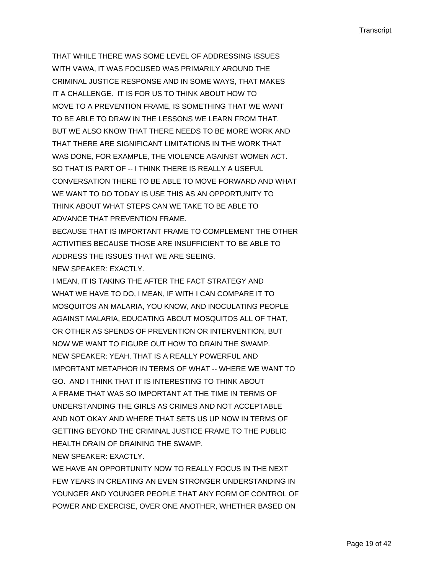THAT WHILE THERE WAS SOME LEVEL OF ADDRESSING ISSUES WITH VAWA, IT WAS FOCUSED WAS PRIMARILY AROUND THE CRIMINAL JUSTICE RESPONSE AND IN SOME WAYS, THAT MAKES IT A CHALLENGE. IT IS FOR US TO THINK ABOUT HOW TO MOVE TO A PREVENTION FRAME, IS SOMETHING THAT WE WANT TO BE ABLE TO DRAW IN THE LESSONS WE LEARN FROM THAT. BUT WE ALSO KNOW THAT THERE NEEDS TO BE MORE WORK AND THAT THERE ARE SIGNIFICANT LIMITATIONS IN THE WORK THAT WAS DONE, FOR EXAMPLE, THE VIOLENCE AGAINST WOMEN ACT. SO THAT IS PART OF -- I THINK THERE IS REALLY A USEFUL CONVERSATION THERE TO BE ABLE TO MOVE FORWARD AND WHAT WE WANT TO DO TODAY IS USE THIS AS AN OPPORTUNITY TO THINK ABOUT WHAT STEPS CAN WE TAKE TO BE ABLE TO ADVANCE THAT PREVENTION FRAME. BECAUSE THAT IS IMPORTANT FRAME TO COMPLEMENT THE OTHER

ACTIVITIES BECAUSE THOSE ARE INSUFFICIENT TO BE ABLE TO ADDRESS THE ISSUES THAT WE ARE SEEING.

NEW SPEAKER: EXACTLY.

I MEAN, IT IS TAKING THE AFTER THE FACT STRATEGY AND WHAT WE HAVE TO DO, I MEAN, IF WITH I CAN COMPARE IT TO MOSQUITOS AN MALARIA, YOU KNOW, AND INOCULATING PEOPLE AGAINST MALARIA, EDUCATING ABOUT MOSQUITOS ALL OF THAT, OR OTHER AS SPENDS OF PREVENTION OR INTERVENTION, BUT NOW WE WANT TO FIGURE OUT HOW TO DRAIN THE SWAMP. NEW SPEAKER: YEAH, THAT IS A REALLY POWERFUL AND IMPORTANT METAPHOR IN TERMS OF WHAT -- WHERE WE WANT TO GO. AND I THINK THAT IT IS INTERESTING TO THINK ABOUT A FRAME THAT WAS SO IMPORTANT AT THE TIME IN TERMS OF UNDERSTANDING THE GIRLS AS CRIMES AND NOT ACCEPTABLE AND NOT OKAY AND WHERE THAT SETS US UP NOW IN TERMS OF GETTING BEYOND THE CRIMINAL JUSTICE FRAME TO THE PUBLIC HEALTH DRAIN OF DRAINING THE SWAMP.

NEW SPEAKER: EXACTLY

WE HAVE AN OPPORTUNITY NOW TO REALLY FOCUS IN THE NEXT FEW YEARS IN CREATING AN EVEN STRONGER UNDERSTANDING IN YOUNGER AND YOUNGER PEOPLE THAT ANY FORM OF CONTROL OF POWER AND EXERCISE, OVER ONE ANOTHER, WHETHER BASED ON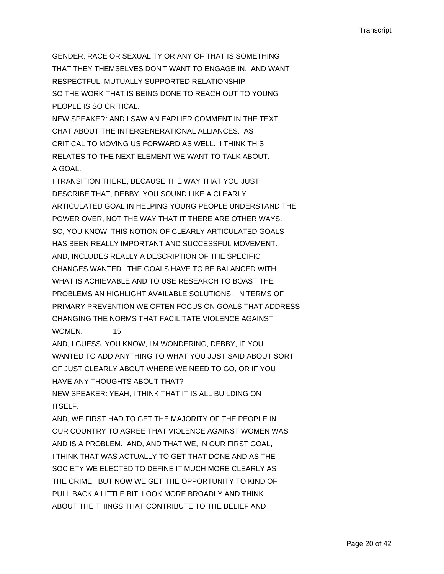GENDER, RACE OR SEXUALITY OR ANY OF THAT IS SOMETHING THAT THEY THEMSELVES DON'T WANT TO ENGAGE IN. AND WANT RESPECTFUL, MUTUALLY SUPPORTED RELATIONSHIP. SO THE WORK THAT IS BEING DONE TO REACH OUT TO YOUNG PEOPLE IS SO CRITICAL.

NEW SPEAKER: AND I SAW AN EARLIER COMMENT IN THE TEXT CHAT ABOUT THE INTERGENERATIONAL ALLIANCES. AS CRITICAL TO MOVING US FORWARD AS WELL. I THINK THIS RELATES TO THE NEXT ELEMENT WE WANT TO TALK ABOUT. A GOAL.

I TRANSITION THERE, BECAUSE THE WAY THAT YOU JUST DESCRIBE THAT, DEBBY, YOU SOUND LIKE A CLEARLY ARTICULATED GOAL IN HELPING YOUNG PEOPLE UNDERSTAND THE POWER OVER, NOT THE WAY THAT IT THERE ARE OTHER WAYS. SO, YOU KNOW, THIS NOTION OF CLEARLY ARTICULATED GOALS HAS BEEN REALLY IMPORTANT AND SUCCESSFUL MOVEMENT. AND, INCLUDES REALLY A DESCRIPTION OF THE SPECIFIC CHANGES WANTED. THE GOALS HAVE TO BE BALANCED WITH WHAT IS ACHIEVABLE AND TO USE RESEARCH TO BOAST THE PROBLEMS AN HIGHLIGHT AVAILABLE SOLUTIONS. IN TERMS OF PRIMARY PREVENTION WE OFTEN FOCUS ON GOALS THAT ADDRESS CHANGING THE NORMS THAT FACILITATE VIOLENCE AGAINST WOMEN. 15

AND, I GUESS, YOU KNOW, I'M WONDERING, DEBBY, IF YOU WANTED TO ADD ANYTHING TO WHAT YOU JUST SAID ABOUT SORT OF JUST CLEARLY ABOUT WHERE WE NEED TO GO, OR IF YOU HAVE ANY THOUGHTS ABOUT THAT?

NEW SPEAKER: YEAH, I THINK THAT IT IS ALL BUILDING ON ITSELF.

AND, WE FIRST HAD TO GET THE MAJORITY OF THE PEOPLE IN OUR COUNTRY TO AGREE THAT VIOLENCE AGAINST WOMEN WAS AND IS A PROBLEM. AND, AND THAT WE, IN OUR FIRST GOAL, I THINK THAT WAS ACTUALLY TO GET THAT DONE AND AS THE SOCIETY WE ELECTED TO DEFINE IT MUCH MORE CLEARLY AS THE CRIME. BUT NOW WE GET THE OPPORTUNITY TO KIND OF PULL BACK A LITTLE BIT, LOOK MORE BROADLY AND THINK ABOUT THE THINGS THAT CONTRIBUTE TO THE BELIEF AND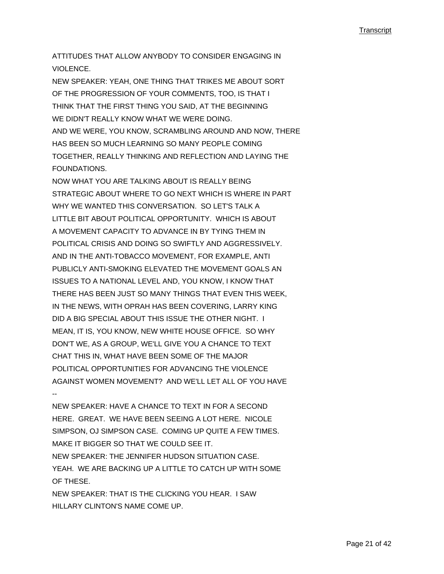ATTITUDES THAT ALLOW ANYBODY TO CONSIDER ENGAGING IN VIOLENCE.

NEW SPEAKER: YEAH, ONE THING THAT TRIKES ME ABOUT SORT OF THE PROGRESSION OF YOUR COMMENTS, TOO, IS THAT I THINK THAT THE FIRST THING YOU SAID, AT THE BEGINNING WE DIDN'T REALLY KNOW WHAT WE WERE DOING. AND WE WERE, YOU KNOW, SCRAMBLING AROUND AND NOW, THERE HAS BEEN SO MUCH LEARNING SO MANY PEOPLE COMING TOGETHER, REALLY THINKING AND REFLECTION AND LAYING THE FOUNDATIONS.

NOW WHAT YOU ARE TALKING ABOUT IS REALLY BEING STRATEGIC ABOUT WHERE TO GO NEXT WHICH IS WHERE IN PART WHY WE WANTED THIS CONVERSATION. SO LET'S TALK A LITTLE BIT ABOUT POLITICAL OPPORTUNITY. WHICH IS ABOUT A MOVEMENT CAPACITY TO ADVANCE IN BY TYING THEM IN POLITICAL CRISIS AND DOING SO SWIFTLY AND AGGRESSIVELY. AND IN THE ANTI-TOBACCO MOVEMENT, FOR EXAMPLE, ANTI PUBLICLY ANTI-SMOKING ELEVATED THE MOVEMENT GOALS AN ISSUES TO A NATIONAL LEVEL AND, YOU KNOW, I KNOW THAT THERE HAS BEEN JUST SO MANY THINGS THAT EVEN THIS WEEK, IN THE NEWS, WITH OPRAH HAS BEEN COVERING, LARRY KING DID A BIG SPECIAL ABOUT THIS ISSUE THE OTHER NIGHT. I MEAN, IT IS, YOU KNOW, NEW WHITE HOUSE OFFICE. SO WHY DON'T WE, AS A GROUP, WE'LL GIVE YOU A CHANCE TO TEXT CHAT THIS IN, WHAT HAVE BEEN SOME OF THE MAJOR POLITICAL OPPORTUNITIES FOR ADVANCING THE VIOLENCE AGAINST WOMEN MOVEMENT? AND WE'LL LET ALL OF YOU HAVE

NEW SPEAKER: HAVE A CHANCE TO TEXT IN FOR A SECOND HERE. GREAT. WE HAVE BEEN SEEING A LOT HERE. NICOLE SIMPSON, OJ SIMPSON CASE. COMING UP QUITE A FEW TIMES. MAKE IT BIGGER SO THAT WE COULD SEE IT. NEW SPEAKER: THE JENNIFER HUDSON SITUATION CASE. YEAH. WE ARE BACKING UP A LITTLE TO CATCH UP WITH SOME OF THESE. NEW SPEAKER: THAT IS THE CLICKING YOU HEAR. I SAW

HILLARY CLINTON'S NAME COME UP.

--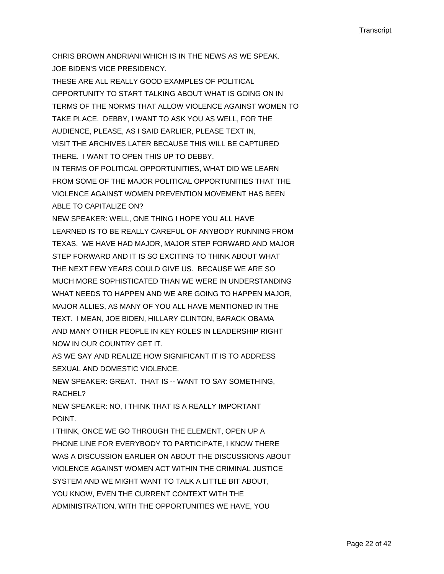CHRIS BROWN ANDRIANI WHICH IS IN THE NEWS AS WE SPEAK. JOE BIDEN'S VICE PRESIDENCY.

THESE ARE ALL REALLY GOOD EXAMPLES OF POLITICAL OPPORTUNITY TO START TALKING ABOUT WHAT IS GOING ON IN TERMS OF THE NORMS THAT ALLOW VIOLENCE AGAINST WOMEN TO TAKE PLACE. DEBBY, I WANT TO ASK YOU AS WELL, FOR THE AUDIENCE, PLEASE, AS I SAID EARLIER, PLEASE TEXT IN, VISIT THE ARCHIVES LATER BECAUSE THIS WILL BE CAPTURED THERE. I WANT TO OPEN THIS UP TO DEBBY.

IN TERMS OF POLITICAL OPPORTUNITIES, WHAT DID WE LEARN FROM SOME OF THE MAJOR POLITICAL OPPORTUNITIES THAT THE VIOLENCE AGAINST WOMEN PREVENTION MOVEMENT HAS BEEN ABLE TO CAPITALIZE ON?

NEW SPEAKER: WELL, ONE THING I HOPE YOU ALL HAVE LEARNED IS TO BE REALLY CAREFUL OF ANYBODY RUNNING FROM TEXAS. WE HAVE HAD MAJOR, MAJOR STEP FORWARD AND MAJOR STEP FORWARD AND IT IS SO EXCITING TO THINK ABOUT WHAT THE NEXT FEW YEARS COULD GIVE US. BECAUSE WE ARE SO MUCH MORE SOPHISTICATED THAN WE WERE IN UNDERSTANDING WHAT NEEDS TO HAPPEN AND WE ARE GOING TO HAPPEN MAJOR, MAJOR ALLIES, AS MANY OF YOU ALL HAVE MENTIONED IN THE TEXT. I MEAN, JOE BIDEN, HILLARY CLINTON, BARACK OBAMA AND MANY OTHER PEOPLE IN KEY ROLES IN LEADERSHIP RIGHT NOW IN OUR COUNTRY GET IT.

AS WE SAY AND REALIZE HOW SIGNIFICANT IT IS TO ADDRESS SEXUAL AND DOMESTIC VIOLENCE.

NEW SPEAKER: GREAT. THAT IS -- WANT TO SAY SOMETHING, RACHEL?

NEW SPEAKER: NO, I THINK THAT IS A REALLY IMPORTANT POINT.

I THINK, ONCE WE GO THROUGH THE ELEMENT, OPEN UP A PHONE LINE FOR EVERYBODY TO PARTICIPATE, I KNOW THERE WAS A DISCUSSION EARLIER ON ABOUT THE DISCUSSIONS ABOUT VIOLENCE AGAINST WOMEN ACT WITHIN THE CRIMINAL JUSTICE SYSTEM AND WE MIGHT WANT TO TALK A LITTLE BIT ABOUT, YOU KNOW, EVEN THE CURRENT CONTEXT WITH THE ADMINISTRATION, WITH THE OPPORTUNITIES WE HAVE, YOU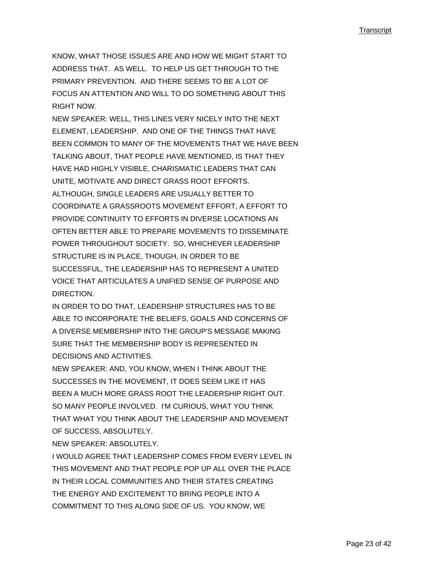KNOW, WHAT THOSE ISSUES ARE AND HOW WE MIGHT START TO ADDRESS THAT. AS WELL. TO HELP US GET THROUGH TO THE PRIMARY PREVENTION. AND THERE SEEMS TO BE A LOT OF FOCUS AN ATTENTION AND WILL TO DO SOMETHING ABOUT THIS RIGHT NOW.

NEW SPEAKER: WELL, THIS LINES VERY NICELY INTO THE NEXT ELEMENT, LEADERSHIP. AND ONE OF THE THINGS THAT HAVE BEEN COMMON TO MANY OF THE MOVEMENTS THAT WE HAVE BEEN TALKING ABOUT, THAT PEOPLE HAVE MENTIONED, IS THAT THEY HAVE HAD HIGHLY VISIBLE, CHARISMATIC LEADERS THAT CAN UNITE, MOTIVATE AND DIRECT GRASS ROOT EFFORTS. ALTHOUGH, SINGLE LEADERS ARE USUALLY BETTER TO COORDINATE A GRASSROOTS MOVEMENT EFFORT, A EFFORT TO PROVIDE CONTINUITY TO EFFORTS IN DIVERSE LOCATIONS AN OFTEN BETTER ABLE TO PREPARE MOVEMENTS TO DISSEMINATE POWER THROUGHOUT SOCIETY. SO, WHICHEVER LEADERSHIP STRUCTURE IS IN PLACE, THOUGH, IN ORDER TO BE SUCCESSFUL, THE LEADERSHIP HAS TO REPRESENT A UNITED VOICE THAT ARTICULATES A UNIFIED SENSE OF PURPOSE AND DIRECTION.

IN ORDER TO DO THAT, LEADERSHIP STRUCTURES HAS TO BE ABLE TO INCORPORATE THE BELIEFS, GOALS AND CONCERNS OF A DIVERSE MEMBERSHIP INTO THE GROUP'S MESSAGE MAKING SURE THAT THE MEMBERSHIP BODY IS REPRESENTED IN DECISIONS AND ACTIVITIES.

NEW SPEAKER: AND, YOU KNOW, WHEN I THINK ABOUT THE SUCCESSES IN THE MOVEMENT, IT DOES SEEM LIKE IT HAS BEEN A MUCH MORE GRASS ROOT THE LEADERSHIP RIGHT OUT. SO MANY PEOPLE INVOLVED. I'M CURIOUS, WHAT YOU THINK THAT WHAT YOU THINK ABOUT THE LEADERSHIP AND MOVEMENT OF SUCCESS, ABSOLUTELY.

NEW SPEAKER: ABSOLUTELY.

I WOULD AGREE THAT LEADERSHIP COMES FROM EVERY LEVEL IN THIS MOVEMENT AND THAT PEOPLE POP UP ALL OVER THE PLACE IN THEIR LOCAL COMMUNITIES AND THEIR STATES CREATING THE ENERGY AND EXCITEMENT TO BRING PEOPLE INTO A COMMITMENT TO THIS ALONG SIDE OF US. YOU KNOW, WE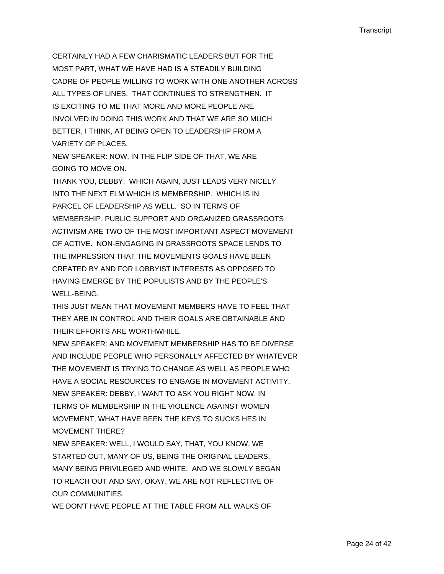CERTAINLY HAD A FEW CHARISMATIC LEADERS BUT FOR THE MOST PART, WHAT WE HAVE HAD IS A STEADILY BUILDING CADRE OF PEOPLE WILLING TO WORK WITH ONE ANOTHER ACROSS ALL TYPES OF LINES. THAT CONTINUES TO STRENGTHEN. IT IS EXCITING TO ME THAT MORE AND MORE PEOPLE ARE INVOLVED IN DOING THIS WORK AND THAT WE ARE SO MUCH BETTER, I THINK, AT BEING OPEN TO LEADERSHIP FROM A VARIETY OF PLACES.

NEW SPEAKER: NOW, IN THE FLIP SIDE OF THAT, WE ARE GOING TO MOVE ON.

THANK YOU, DEBBY. WHICH AGAIN, JUST LEADS VERY NICELY INTO THE NEXT ELM WHICH IS MEMBERSHIP. WHICH IS IN PARCEL OF LEADERSHIP AS WELL. SO IN TERMS OF MEMBERSHIP, PUBLIC SUPPORT AND ORGANIZED GRASSROOTS ACTIVISM ARE TWO OF THE MOST IMPORTANT ASPECT MOVEMENT OF ACTIVE. NON-ENGAGING IN GRASSROOTS SPACE LENDS TO THE IMPRESSION THAT THE MOVEMENTS GOALS HAVE BEEN CREATED BY AND FOR LOBBYIST INTERESTS AS OPPOSED TO HAVING EMERGE BY THE POPULISTS AND BY THE PEOPLE'S WELL-BEING.

THIS JUST MEAN THAT MOVEMENT MEMBERS HAVE TO FEEL THAT THEY ARE IN CONTROL AND THEIR GOALS ARE OBTAINABLE AND THEIR EFFORTS ARE WORTHWHILE.

NEW SPEAKER: AND MOVEMENT MEMBERSHIP HAS TO BE DIVERSE AND INCLUDE PEOPLE WHO PERSONALLY AFFECTED BY WHATEVER THE MOVEMENT IS TRYING TO CHANGE AS WELL AS PEOPLE WHO HAVE A SOCIAL RESOURCES TO ENGAGE IN MOVEMENT ACTIVITY. NEW SPEAKER: DEBBY, I WANT TO ASK YOU RIGHT NOW, IN TERMS OF MEMBERSHIP IN THE VIOLENCE AGAINST WOMEN MOVEMENT, WHAT HAVE BEEN THE KEYS TO SUCKS HES IN MOVEMENT THERE?

NEW SPEAKER: WELL, I WOULD SAY, THAT, YOU KNOW, WE STARTED OUT, MANY OF US, BEING THE ORIGINAL LEADERS, MANY BEING PRIVILEGED AND WHITE. AND WE SLOWLY BEGAN TO REACH OUT AND SAY, OKAY, WE ARE NOT REFLECTIVE OF OUR COMMUNITIES.

WE DON'T HAVE PEOPLE AT THE TABLE FROM ALL WALKS OF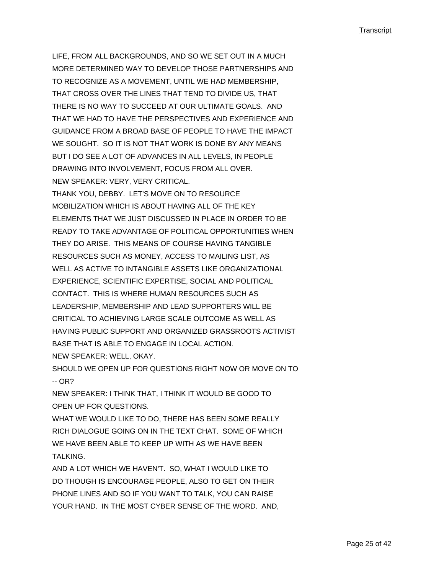LIFE, FROM ALL BACKGROUNDS, AND SO WE SET OUT IN A MUCH MORE DETERMINED WAY TO DEVELOP THOSE PARTNERSHIPS AND TO RECOGNIZE AS A MOVEMENT, UNTIL WE HAD MEMBERSHIP, THAT CROSS OVER THE LINES THAT TEND TO DIVIDE US, THAT THERE IS NO WAY TO SUCCEED AT OUR ULTIMATE GOALS. AND THAT WE HAD TO HAVE THE PERSPECTIVES AND EXPERIENCE AND GUIDANCE FROM A BROAD BASE OF PEOPLE TO HAVE THE IMPACT WE SOUGHT. SO IT IS NOT THAT WORK IS DONE BY ANY MEANS BUT I DO SEE A LOT OF ADVANCES IN ALL LEVELS, IN PEOPLE DRAWING INTO INVOLVEMENT, FOCUS FROM ALL OVER. NEW SPEAKER: VERY, VERY CRITICAL. THANK YOU, DEBBY. LET'S MOVE ON TO RESOURCE MOBILIZATION WHICH IS ABOUT HAVING ALL OF THE KEY ELEMENTS THAT WE JUST DISCUSSED IN PLACE IN ORDER TO BE READY TO TAKE ADVANTAGE OF POLITICAL OPPORTUNITIES WHEN THEY DO ARISE. THIS MEANS OF COURSE HAVING TANGIBLE RESOURCES SUCH AS MONEY, ACCESS TO MAILING LIST, AS WELL AS ACTIVE TO INTANGIBLE ASSETS LIKE ORGANIZATIONAL EXPERIENCE, SCIENTIFIC EXPERTISE, SOCIAL AND POLITICAL CONTACT. THIS IS WHERE HUMAN RESOURCES SUCH AS LEADERSHIP, MEMBERSHIP AND LEAD SUPPORTERS WILL BE CRITICAL TO ACHIEVING LARGE SCALE OUTCOME AS WELL AS HAVING PUBLIC SUPPORT AND ORGANIZED GRASSROOTS ACTIVIST BASE THAT IS ABLE TO ENGAGE IN LOCAL ACTION. NEW SPEAKER: WELL, OKAY.

SHOULD WE OPEN UP FOR QUESTIONS RIGHT NOW OR MOVE ON TO -- OR?

NEW SPEAKER: I THINK THAT, I THINK IT WOULD BE GOOD TO OPEN UP FOR QUESTIONS.

WHAT WE WOULD LIKE TO DO, THERE HAS BEEN SOME REALLY RICH DIALOGUE GOING ON IN THE TEXT CHAT. SOME OF WHICH WE HAVE BEEN ABLE TO KEEP UP WITH AS WE HAVE BEEN **TAI KING** 

AND A LOT WHICH WE HAVEN'T. SO, WHAT I WOULD LIKE TO DO THOUGH IS ENCOURAGE PEOPLE, ALSO TO GET ON THEIR PHONE LINES AND SO IF YOU WANT TO TALK, YOU CAN RAISE YOUR HAND. IN THE MOST CYBER SENSE OF THE WORD. AND,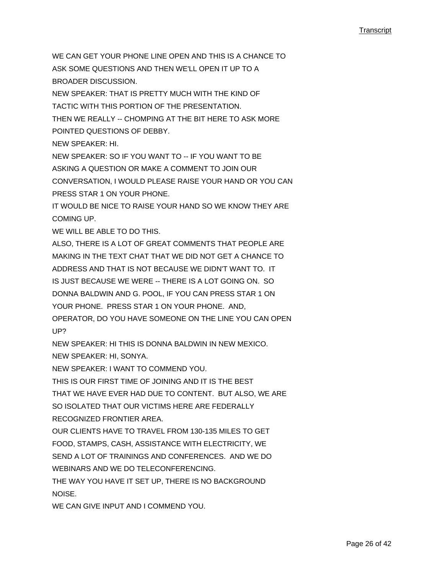WE CAN GET YOUR PHONE LINE OPEN AND THIS IS A CHANCE TO ASK SOME QUESTIONS AND THEN WE'LL OPEN IT UP TO A BROADER DISCUSSION. NEW SPEAKER: THAT IS PRETTY MUCH WITH THE KIND OF

TACTIC WITH THIS PORTION OF THE PRESENTATION.

THEN WE REALLY -- CHOMPING AT THE BIT HERE TO ASK MORE

POINTED QUESTIONS OF DEBBY.

NEW SPEAKER: HI.

NEW SPEAKER: SO IF YOU WANT TO -- IF YOU WANT TO BE

ASKING A QUESTION OR MAKE A COMMENT TO JOIN OUR

CONVERSATION, I WOULD PLEASE RAISE YOUR HAND OR YOU CAN PRESS STAR 1 ON YOUR PHONE.

IT WOULD BE NICE TO RAISE YOUR HAND SO WE KNOW THEY ARE COMING UP.

WE WILL BE ABLE TO DO THIS.

ALSO, THERE IS A LOT OF GREAT COMMENTS THAT PEOPLE ARE MAKING IN THE TEXT CHAT THAT WE DID NOT GET A CHANCE TO ADDRESS AND THAT IS NOT BECAUSE WE DIDN'T WANT TO. IT IS JUST BECAUSE WE WERE -- THERE IS A LOT GOING ON. SO DONNA BALDWIN AND G. POOL, IF YOU CAN PRESS STAR 1 ON YOUR PHONE. PRESS STAR 1 ON YOUR PHONE. AND, OPERATOR, DO YOU HAVE SOMEONE ON THE LINE YOU CAN OPEN UP?

NEW SPEAKER: HI THIS IS DONNA BALDWIN IN NEW MEXICO.

NEW SPEAKER: HI, SONYA.

NEW SPEAKER: I WANT TO COMMEND YOU.

THIS IS OUR FIRST TIME OF JOINING AND IT IS THE BEST

THAT WE HAVE EVER HAD DUE TO CONTENT. BUT ALSO, WE ARE SO ISOLATED THAT OUR VICTIMS HERE ARE FEDERALLY RECOGNIZED FRONTIER AREA.

OUR CLIENTS HAVE TO TRAVEL FROM 130-135 MILES TO GET FOOD, STAMPS, CASH, ASSISTANCE WITH ELECTRICITY, WE SEND A LOT OF TRAININGS AND CONFERENCES. AND WE DO WEBINARS AND WE DO TELECONFERENCING.

THE WAY YOU HAVE IT SET UP, THERE IS NO BACKGROUND NOISE.

WE CAN GIVE INPUT AND I COMMEND YOU.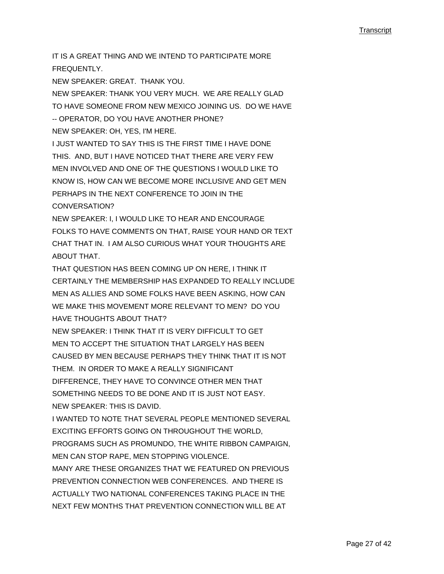IT IS A GREAT THING AND WE INTEND TO PARTICIPATE MORE FREQUENTLY.

NEW SPEAKER: GREAT. THANK YOU.

NEW SPEAKER: THANK YOU VERY MUCH. WE ARE REALLY GLAD TO HAVE SOMEONE FROM NEW MEXICO JOINING US. DO WE HAVE -- OPERATOR, DO YOU HAVE ANOTHER PHONE? NEW SPEAKER: OH, YES, I'M HERE.

I JUST WANTED TO SAY THIS IS THE FIRST TIME I HAVE DONE THIS. AND, BUT I HAVE NOTICED THAT THERE ARE VERY FEW MEN INVOLVED AND ONE OF THE QUESTIONS I WOULD LIKE TO KNOW IS, HOW CAN WE BECOME MORE INCLUSIVE AND GET MEN PERHAPS IN THE NEXT CONFERENCE TO JOIN IN THE CONVERSATION?

NEW SPEAKER: I, I WOULD LIKE TO HEAR AND ENCOURAGE FOLKS TO HAVE COMMENTS ON THAT, RAISE YOUR HAND OR TEXT CHAT THAT IN. I AM ALSO CURIOUS WHAT YOUR THOUGHTS ARE ABOUT THAT.

THAT QUESTION HAS BEEN COMING UP ON HERE, I THINK IT CERTAINLY THE MEMBERSHIP HAS EXPANDED TO REALLY INCLUDE MEN AS ALLIES AND SOME FOLKS HAVE BEEN ASKING, HOW CAN WE MAKE THIS MOVEMENT MORE RELEVANT TO MEN? DO YOU HAVE THOUGHTS ABOUT THAT?

NEW SPEAKER: I THINK THAT IT IS VERY DIFFICULT TO GET MEN TO ACCEPT THE SITUATION THAT LARGELY HAS BEEN CAUSED BY MEN BECAUSE PERHAPS THEY THINK THAT IT IS NOT THEM. IN ORDER TO MAKE A REALLY SIGNIFICANT DIFFERENCE, THEY HAVE TO CONVINCE OTHER MEN THAT SOMETHING NEEDS TO BE DONE AND IT IS JUST NOT EASY. NEW SPEAKER: THIS IS DAVID.

I WANTED TO NOTE THAT SEVERAL PEOPLE MENTIONED SEVERAL EXCITING EFFORTS GOING ON THROUGHOUT THE WORLD, PROGRAMS SUCH AS PROMUNDO, THE WHITE RIBBON CAMPAIGN, MEN CAN STOP RAPE, MEN STOPPING VIOLENCE.

MANY ARE THESE ORGANIZES THAT WE FEATURED ON PREVIOUS PREVENTION CONNECTION WEB CONFERENCES. AND THERE IS ACTUALLY TWO NATIONAL CONFERENCES TAKING PLACE IN THE NEXT FEW MONTHS THAT PREVENTION CONNECTION WILL BE AT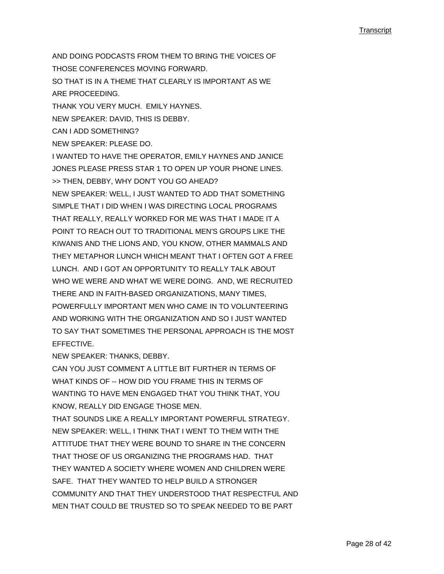AND DOING PODCASTS FROM THEM TO BRING THE VOICES OF THOSE CONFERENCES MOVING FORWARD. SO THAT IS IN A THEME THAT CLEARLY IS IMPORTANT AS WE ARE PROCEEDING. THANK YOU VERY MUCH. EMILY HAYNES. NEW SPEAKER: DAVID, THIS IS DEBBY. CAN I ADD SOMETHING? NEW SPEAKER: PLEASE DO. I WANTED TO HAVE THE OPERATOR, EMILY HAYNES AND JANICE JONES PLEASE PRESS STAR 1 TO OPEN UP YOUR PHONE LINES. >> THEN, DEBBY, WHY DON'T YOU GO AHEAD? NEW SPEAKER: WELL, I JUST WANTED TO ADD THAT SOMETHING SIMPLE THAT I DID WHEN I WAS DIRECTING LOCAL PROGRAMS THAT REALLY, REALLY WORKED FOR ME WAS THAT I MADE IT A POINT TO REACH OUT TO TRADITIONAL MEN'S GROUPS LIKE THE KIWANIS AND THE LIONS AND, YOU KNOW, OTHER MAMMALS AND THEY METAPHOR LUNCH WHICH MEANT THAT I OFTEN GOT A FREE LUNCH. AND I GOT AN OPPORTUNITY TO REALLY TALK ABOUT WHO WE WERE AND WHAT WE WERE DOING. AND, WE RECRUITED THERE AND IN FAITH-BASED ORGANIZATIONS, MANY TIMES, POWERFULLY IMPORTANT MEN WHO CAME IN TO VOLUNTEERING AND WORKING WITH THE ORGANIZATION AND SO I JUST WANTED TO SAY THAT SOMETIMES THE PERSONAL APPROACH IS THE MOST EFFECTIVE. NEW SPEAKER: THANKS, DEBBY. CAN YOU JUST COMMENT A LITTLE BIT FURTHER IN TERMS OF

WHAT KINDS OF -- HOW DID YOU FRAME THIS IN TERMS OF WANTING TO HAVE MEN ENGAGED THAT YOU THINK THAT, YOU KNOW, REALLY DID ENGAGE THOSE MEN.

THAT SOUNDS LIKE A REALLY IMPORTANT POWERFUL STRATEGY. NEW SPEAKER: WELL, I THINK THAT I WENT TO THEM WITH THE ATTITUDE THAT THEY WERE BOUND TO SHARE IN THE CONCERN THAT THOSE OF US ORGANIZING THE PROGRAMS HAD. THAT THEY WANTED A SOCIETY WHERE WOMEN AND CHILDREN WERE SAFE. THAT THEY WANTED TO HELP BUILD A STRONGER COMMUNITY AND THAT THEY UNDERSTOOD THAT RESPECTFUL AND MEN THAT COULD BE TRUSTED SO TO SPEAK NEEDED TO BE PART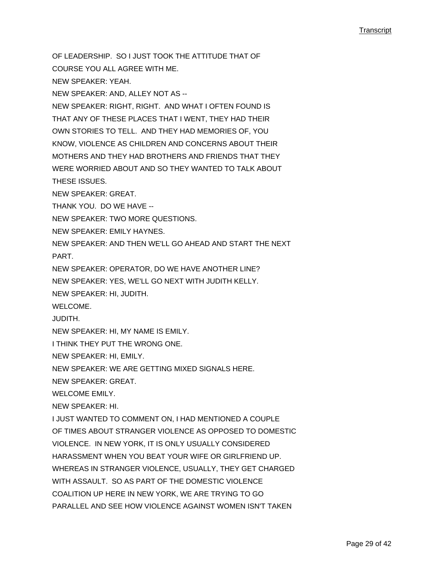OF LEADERSHIP. SO I JUST TOOK THE ATTITUDE THAT OF

COURSE YOU ALL AGREE WITH ME. NEW SPEAKER: YEAH.

NEW SPEAKER: AND, ALLEY NOT AS --

NEW SPEAKER: RIGHT, RIGHT. AND WHAT I OFTEN FOUND IS THAT ANY OF THESE PLACES THAT I WENT, THEY HAD THEIR OWN STORIES TO TELL. AND THEY HAD MEMORIES OF, YOU KNOW, VIOLENCE AS CHILDREN AND CONCERNS ABOUT THEIR MOTHERS AND THEY HAD BROTHERS AND FRIENDS THAT THEY WERE WORRIED ABOUT AND SO THEY WANTED TO TALK ABOUT THESE ISSUES.

NEW SPEAKER: GREAT.

THANK YOU. DO WE HAVE --

NEW SPEAKER: TWO MORE QUESTIONS.

NEW SPEAKER: EMILY HAYNES.

NEW SPEAKER: AND THEN WE'LL GO AHEAD AND START THE NEXT PART.

NEW SPEAKER: OPERATOR, DO WE HAVE ANOTHER LINE?

NEW SPEAKER: YES, WE'LL GO NEXT WITH JUDITH KELLY.

NEW SPEAKER: HI, JUDITH.

WELCOME.

JUDITH.

NEW SPEAKER: HI, MY NAME IS EMILY.

I THINK THEY PUT THE WRONG ONE.

NEW SPEAKER: HI, EMILY.

NEW SPEAKER: WE ARE GETTING MIXED SIGNALS HERE.

NEW SPEAKER: GREAT.

WELCOME EMILY.

NEW SPEAKER: HI.

I JUST WANTED TO COMMENT ON, I HAD MENTIONED A COUPLE

OF TIMES ABOUT STRANGER VIOLENCE AS OPPOSED TO DOMESTIC

VIOLENCE. IN NEW YORK, IT IS ONLY USUALLY CONSIDERED

HARASSMENT WHEN YOU BEAT YOUR WIFE OR GIRLFRIEND UP.

WHEREAS IN STRANGER VIOLENCE, USUALLY, THEY GET CHARGED

WITH ASSAULT. SO AS PART OF THE DOMESTIC VIOLENCE

COALITION UP HERE IN NEW YORK, WE ARE TRYING TO GO

PARALLEL AND SEE HOW VIOLENCE AGAINST WOMEN ISN'T TAKEN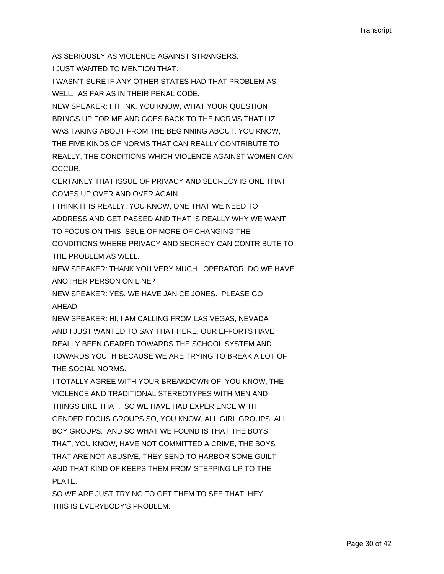AS SERIOUSLY AS VIOLENCE AGAINST STRANGERS.

I JUST WANTED TO MENTION THAT.

I WASN'T SURE IF ANY OTHER STATES HAD THAT PROBLEM AS WELL. AS FAR AS IN THEIR PENAL CODE.

NEW SPEAKER: I THINK, YOU KNOW, WHAT YOUR QUESTION BRINGS UP FOR ME AND GOES BACK TO THE NORMS THAT LIZ WAS TAKING ABOUT FROM THE BEGINNING ABOUT, YOU KNOW, THE FIVE KINDS OF NORMS THAT CAN REALLY CONTRIBUTE TO REALLY, THE CONDITIONS WHICH VIOLENCE AGAINST WOMEN CAN OCCUR.

CERTAINLY THAT ISSUE OF PRIVACY AND SECRECY IS ONE THAT COMES UP OVER AND OVER AGAIN.

I THINK IT IS REALLY, YOU KNOW, ONE THAT WE NEED TO ADDRESS AND GET PASSED AND THAT IS REALLY WHY WE WANT TO FOCUS ON THIS ISSUE OF MORE OF CHANGING THE CONDITIONS WHERE PRIVACY AND SECRECY CAN CONTRIBUTE TO THE PROBLEM AS WELL.

NEW SPEAKER: THANK YOU VERY MUCH. OPERATOR, DO WE HAVE ANOTHER PERSON ON LINE?

NEW SPEAKER: YES, WE HAVE JANICE JONES. PLEASE GO AHEAD.

NEW SPEAKER: HI, I AM CALLING FROM LAS VEGAS, NEVADA AND I JUST WANTED TO SAY THAT HERE, OUR EFFORTS HAVE REALLY BEEN GEARED TOWARDS THE SCHOOL SYSTEM AND TOWARDS YOUTH BECAUSE WE ARE TRYING TO BREAK A LOT OF THE SOCIAL NORMS.

I TOTALLY AGREE WITH YOUR BREAKDOWN OF, YOU KNOW, THE VIOLENCE AND TRADITIONAL STEREOTYPES WITH MEN AND THINGS LIKE THAT. SO WE HAVE HAD EXPERIENCE WITH GENDER FOCUS GROUPS SO, YOU KNOW, ALL GIRL GROUPS, ALL BOY GROUPS. AND SO WHAT WE FOUND IS THAT THE BOYS THAT, YOU KNOW, HAVE NOT COMMITTED A CRIME, THE BOYS THAT ARE NOT ABUSIVE, THEY SEND TO HARBOR SOME GUILT AND THAT KIND OF KEEPS THEM FROM STEPPING UP TO THE PI ATF

SO WE ARE JUST TRYING TO GET THEM TO SEE THAT, HEY, THIS IS EVERYBODY'S PROBLEM.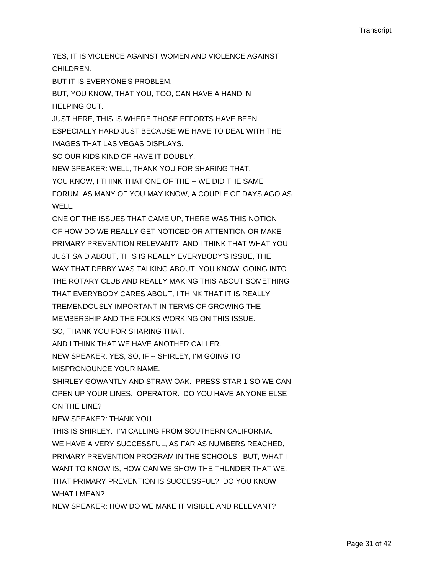YES, IT IS VIOLENCE AGAINST WOMEN AND VIOLENCE AGAINST CHILDREN. BUT IT IS EVERYONE'S PROBLEM. BUT, YOU KNOW, THAT YOU, TOO, CAN HAVE A HAND IN HELPING OUT. JUST HERE, THIS IS WHERE THOSE EFFORTS HAVE BEEN. ESPECIALLY HARD JUST BECAUSE WE HAVE TO DEAL WITH THE IMAGES THAT LAS VEGAS DISPLAYS. SO OUR KIDS KIND OF HAVE IT DOUBLY. NEW SPEAKER: WELL, THANK YOU FOR SHARING THAT. YOU KNOW, I THINK THAT ONE OF THE -- WE DID THE SAME FORUM, AS MANY OF YOU MAY KNOW, A COUPLE OF DAYS AGO AS WELL. ONE OF THE ISSUES THAT CAME UP, THERE WAS THIS NOTION OF HOW DO WE REALLY GET NOTICED OR ATTENTION OR MAKE PRIMARY PREVENTION RELEVANT? AND I THINK THAT WHAT YOU JUST SAID ABOUT, THIS IS REALLY EVERYBODY'S ISSUE, THE WAY THAT DEBBY WAS TALKING ABOUT, YOU KNOW, GOING INTO THE ROTARY CLUB AND REALLY MAKING THIS ABOUT SOMETHING THAT EVERYBODY CARES ABOUT, I THINK THAT IT IS REALLY TREMENDOUSLY IMPORTANT IN TERMS OF GROWING THE MEMBERSHIP AND THE FOLKS WORKING ON THIS ISSUE. SO, THANK YOU FOR SHARING THAT. AND I THINK THAT WE HAVE ANOTHER CALLER. NEW SPEAKER: YES, SO, IF -- SHIRLEY, I'M GOING TO MISPRONOUNCE YOUR NAME. SHIRLEY GOWANTLY AND STRAW OAK. PRESS STAR 1 SO WE CAN OPEN UP YOUR LINES. OPERATOR. DO YOU HAVE ANYONE ELSE ON THE LINE? NEW SPEAKER: THANK YOU. THIS IS SHIRLEY. I'M CALLING FROM SOUTHERN CALIFORNIA. WE HAVE A VERY SUCCESSFUL, AS FAR AS NUMBERS REACHED, PRIMARY PREVENTION PROGRAM IN THE SCHOOLS. BUT, WHAT I WANT TO KNOW IS, HOW CAN WE SHOW THE THUNDER THAT WE, THAT PRIMARY PREVENTION IS SUCCESSFUL? DO YOU KNOW WHAT I MEAN? NEW SPEAKER: HOW DO WE MAKE IT VISIBLE AND RELEVANT?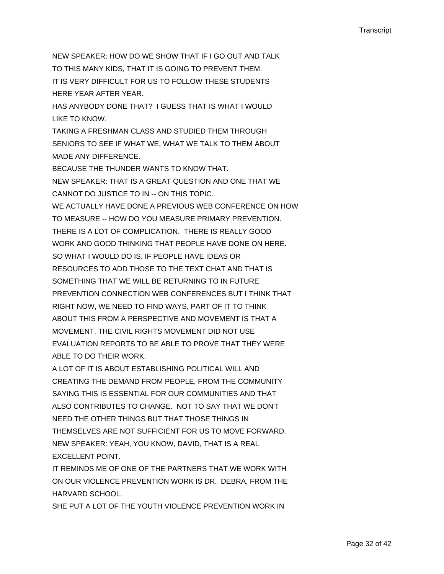NEW SPEAKER: HOW DO WE SHOW THAT IF I GO OUT AND TALK TO THIS MANY KIDS, THAT IT IS GOING TO PREVENT THEM. IT IS VERY DIFFICULT FOR US TO FOLLOW THESE STUDENTS HERE YEAR AFTER YEAR. HAS ANYBODY DONE THAT? I GUESS THAT IS WHAT I WOULD LIKE TO KNOW. TAKING A FRESHMAN CLASS AND STUDIED THEM THROUGH SENIORS TO SEE IF WHAT WE, WHAT WE TALK TO THEM ABOUT MADE ANY DIFFERENCE. BECAUSE THE THUNDER WANTS TO KNOW THAT. NEW SPEAKER: THAT IS A GREAT QUESTION AND ONE THAT WE CANNOT DO JUSTICE TO IN -- ON THIS TOPIC. WE ACTUALLY HAVE DONE A PREVIOUS WEB CONFERENCE ON HOW TO MEASURE -- HOW DO YOU MEASURE PRIMARY PREVENTION. THERE IS A LOT OF COMPLICATION. THERE IS REALLY GOOD WORK AND GOOD THINKING THAT PEOPLE HAVE DONE ON HERE. SO WHAT I WOULD DO IS, IF PEOPLE HAVE IDEAS OR RESOURCES TO ADD THOSE TO THE TEXT CHAT AND THAT IS SOMETHING THAT WE WILL BE RETURNING TO IN FUTURE PREVENTION CONNECTION WEB CONFERENCES BUT I THINK THAT RIGHT NOW, WE NEED TO FIND WAYS, PART OF IT TO THINK ABOUT THIS FROM A PERSPECTIVE AND MOVEMENT IS THAT A MOVEMENT, THE CIVIL RIGHTS MOVEMENT DID NOT USE EVALUATION REPORTS TO BE ABLE TO PROVE THAT THEY WERE

ABLE TO DO THEIR WORK.

A LOT OF IT IS ABOUT ESTABLISHING POLITICAL WILL AND CREATING THE DEMAND FROM PEOPLE, FROM THE COMMUNITY SAYING THIS IS ESSENTIAL FOR OUR COMMUNITIES AND THAT ALSO CONTRIBUTES TO CHANGE. NOT TO SAY THAT WE DON'T NEED THE OTHER THINGS BUT THAT THOSE THINGS IN THEMSELVES ARE NOT SUFFICIENT FOR US TO MOVE FORWARD. NEW SPEAKER: YEAH, YOU KNOW, DAVID, THAT IS A REAL EXCELLENT POINT.

IT REMINDS ME OF ONE OF THE PARTNERS THAT WE WORK WITH ON OUR VIOLENCE PREVENTION WORK IS DR. DEBRA, FROM THE HARVARD SCHOOL.

SHE PUT A LOT OF THE YOUTH VIOLENCE PREVENTION WORK IN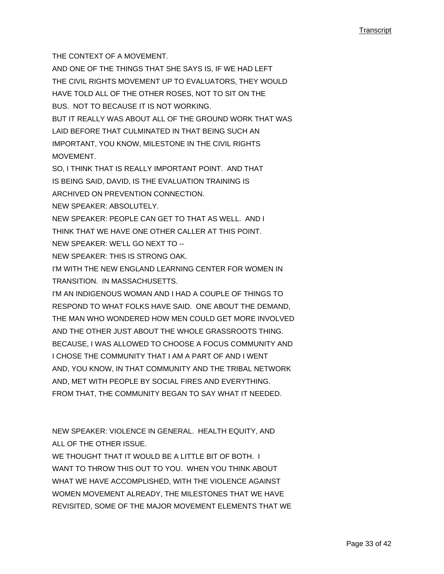THE CONTEXT OF A MOVEMENT.

AND ONE OF THE THINGS THAT SHE SAYS IS, IF WE HAD LEFT THE CIVIL RIGHTS MOVEMENT UP TO EVALUATORS, THEY WOULD HAVE TOLD ALL OF THE OTHER ROSES, NOT TO SIT ON THE BUS. NOT TO BECAUSE IT IS NOT WORKING. BUT IT REALLY WAS ABOUT ALL OF THE GROUND WORK THAT WAS LAID BEFORE THAT CULMINATED IN THAT BEING SUCH AN IMPORTANT, YOU KNOW, MILESTONE IN THE CIVIL RIGHTS MOVEMENT.

SO, I THINK THAT IS REALLY IMPORTANT POINT. AND THAT IS BEING SAID, DAVID, IS THE EVALUATION TRAINING IS ARCHIVED ON PREVENTION CONNECTION.

NEW SPEAKER: ABSOLUTELY.

NEW SPEAKER: PEOPLE CAN GET TO THAT AS WELL. AND I THINK THAT WE HAVE ONE OTHER CALLER AT THIS POINT.

- NEW SPEAKER: WE'LL GO NEXT TO --
- NEW SPEAKER: THIS IS STRONG OAK.

I'M WITH THE NEW ENGLAND LEARNING CENTER FOR WOMEN IN TRANSITION. IN MASSACHUSETTS.

I'M AN INDIGENOUS WOMAN AND I HAD A COUPLE OF THINGS TO RESPOND TO WHAT FOLKS HAVE SAID. ONE ABOUT THE DEMAND, THE MAN WHO WONDERED HOW MEN COULD GET MORE INVOLVED AND THE OTHER JUST ABOUT THE WHOLE GRASSROOTS THING. BECAUSE, I WAS ALLOWED TO CHOOSE A FOCUS COMMUNITY AND I CHOSE THE COMMUNITY THAT I AM A PART OF AND I WENT AND, YOU KNOW, IN THAT COMMUNITY AND THE TRIBAL NETWORK AND, MET WITH PEOPLE BY SOCIAL FIRES AND EVERYTHING. FROM THAT, THE COMMUNITY BEGAN TO SAY WHAT IT NEEDED.

NEW SPEAKER: VIOLENCE IN GENERAL. HEALTH EQUITY, AND ALL OF THE OTHER ISSUE.

WE THOUGHT THAT IT WOULD BE A LITTLE BIT OF BOTH. I WANT TO THROW THIS OUT TO YOU. WHEN YOU THINK ABOUT WHAT WE HAVE ACCOMPLISHED, WITH THE VIOLENCE AGAINST WOMEN MOVEMENT ALREADY, THE MILESTONES THAT WE HAVE REVISITED, SOME OF THE MAJOR MOVEMENT ELEMENTS THAT WE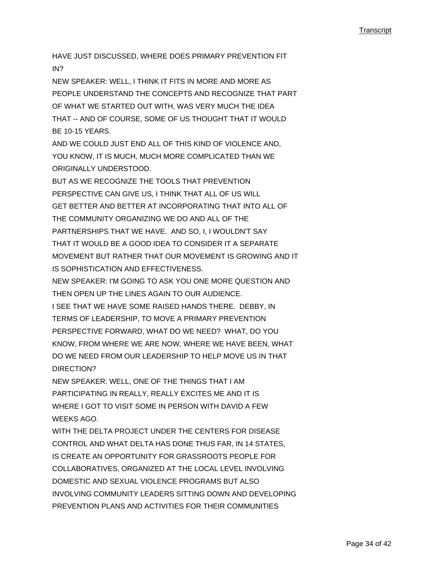HAVE JUST DISCUSSED, WHERE DOES PRIMARY PREVENTION FIT IN?

NEW SPEAKER: WELL, I THINK IT FITS IN MORE AND MORE AS PEOPLE UNDERSTAND THE CONCEPTS AND RECOGNIZE THAT PART OF WHAT WE STARTED OUT WITH, WAS VERY MUCH THE IDEA THAT -- AND OF COURSE, SOME OF US THOUGHT THAT IT WOULD BE 10-15 YEARS.

AND WE COULD JUST END ALL OF THIS KIND OF VIOLENCE AND, YOU KNOW, IT IS MUCH, MUCH MORE COMPLICATED THAN WE ORIGINALLY UNDERSTOOD.

BUT AS WE RECOGNIZE THE TOOLS THAT PREVENTION PERSPECTIVE CAN GIVE US, I THINK THAT ALL OF US WILL GET BETTER AND BETTER AT INCORPORATING THAT INTO ALL OF THE COMMUNITY ORGANIZING WE DO AND ALL OF THE PARTNERSHIPS THAT WE HAVE. AND SO, I, I WOULDN'T SAY THAT IT WOULD BE A GOOD IDEA TO CONSIDER IT A SEPARATE MOVEMENT BUT RATHER THAT OUR MOVEMENT IS GROWING AND IT IS SOPHISTICATION AND EFFECTIVENESS.

NEW SPEAKER: I'M GOING TO ASK YOU ONE MORE QUESTION AND THEN OPEN UP THE LINES AGAIN TO OUR AUDIENCE.

I SEE THAT WE HAVE SOME RAISED HANDS THERE. DEBBY, IN TERMS OF LEADERSHIP, TO MOVE A PRIMARY PREVENTION PERSPECTIVE FORWARD, WHAT DO WE NEED? WHAT, DO YOU KNOW, FROM WHERE WE ARE NOW, WHERE WE HAVE BEEN, WHAT DO WE NEED FROM OUR LEADERSHIP TO HELP MOVE US IN THAT DIRECTION?

NEW SPEAKER: WELL, ONE OF THE THINGS THAT I AM PARTICIPATING IN REALLY, REALLY EXCITES ME AND IT IS WHERE I GOT TO VISIT SOME IN PERSON WITH DAVID A FEW WEEKS AGO.

WITH THE DELTA PROJECT UNDER THE CENTERS FOR DISEASE CONTROL AND WHAT DELTA HAS DONE THUS FAR, IN 14 STATES, IS CREATE AN OPPORTUNITY FOR GRASSROOTS PEOPLE FOR COLLABORATIVES, ORGANIZED AT THE LOCAL LEVEL INVOLVING DOMESTIC AND SEXUAL VIOLENCE PROGRAMS BUT ALSO INVOLVING COMMUNITY LEADERS SITTING DOWN AND DEVELOPING PREVENTION PLANS AND ACTIVITIES FOR THEIR COMMUNITIES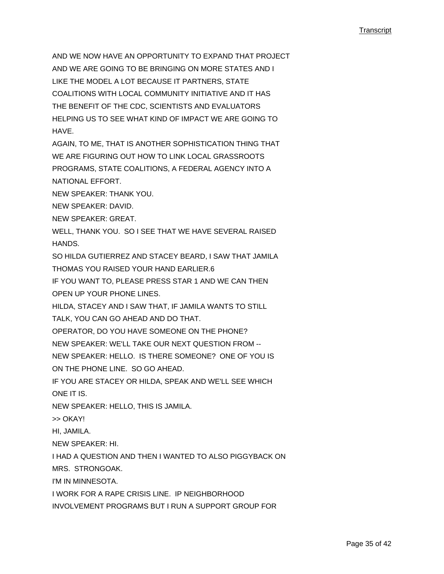AND WE NOW HAVE AN OPPORTUNITY TO EXPAND THAT PROJECT AND WE ARE GOING TO BE BRINGING ON MORE STATES AND I LIKE THE MODEL A LOT BECAUSE IT PARTNERS, STATE COALITIONS WITH LOCAL COMMUNITY INITIATIVE AND IT HAS THE BENEFIT OF THE CDC, SCIENTISTS AND EVALUATORS HELPING US TO SEE WHAT KIND OF IMPACT WE ARE GOING TO HAVE.

AGAIN, TO ME, THAT IS ANOTHER SOPHISTICATION THING THAT WE ARE FIGURING OUT HOW TO LINK LOCAL GRASSROOTS PROGRAMS, STATE COALITIONS, A FEDERAL AGENCY INTO A NATIONAL EFFORT.

NEW SPEAKER: THANK YOU.

NEW SPEAKER: DAVID.

NEW SPEAKER: GREAT.

WELL, THANK YOU. SO I SEE THAT WE HAVE SEVERAL RAISED HANDS.

SO HILDA GUTIERREZ AND STACEY BEARD, I SAW THAT JAMILA

THOMAS YOU RAISED YOUR HAND EARLIER.6

IF YOU WANT TO, PLEASE PRESS STAR 1 AND WE CAN THEN OPEN UP YOUR PHONE LINES.

HILDA, STACEY AND I SAW THAT, IF JAMILA WANTS TO STILL

TALK, YOU CAN GO AHEAD AND DO THAT.

OPERATOR, DO YOU HAVE SOMEONE ON THE PHONE?

NEW SPEAKER: WE'LL TAKE OUR NEXT QUESTION FROM --

NEW SPEAKER: HELLO. IS THERE SOMEONE? ONE OF YOU IS

ON THE PHONE LINE. SO GO AHEAD.

IF YOU ARE STACEY OR HILDA, SPEAK AND WE'LL SEE WHICH ONE IT IS.

NEW SPEAKER: HELLO, THIS IS JAMILA.

>> OKAY!

HI, JAMILA.

NEW SPEAKER: HI.

I HAD A QUESTION AND THEN I WANTED TO ALSO PIGGYBACK ON

MRS. STRONGOAK.

I'M IN MINNESOTA.

I WORK FOR A RAPE CRISIS LINE. IP NEIGHBORHOOD

INVOLVEMENT PROGRAMS BUT I RUN A SUPPORT GROUP FOR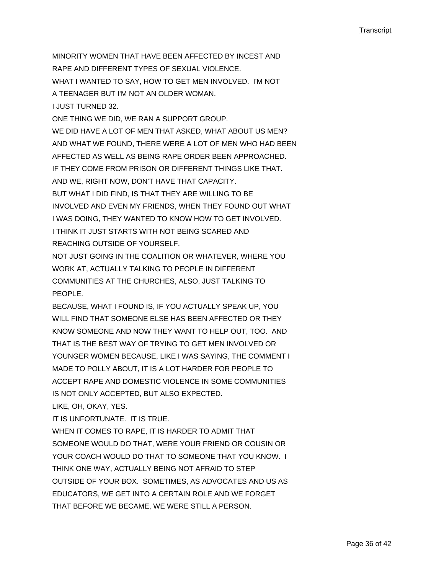MINORITY WOMEN THAT HAVE BEEN AFFECTED BY INCEST AND RAPE AND DIFFERENT TYPES OF SEXUAL VIOLENCE. WHAT I WANTED TO SAY, HOW TO GET MEN INVOLVED. I'M NOT A TEENAGER BUT I'M NOT AN OLDER WOMAN. I JUST TURNED 32. ONE THING WE DID, WE RAN A SUPPORT GROUP. WE DID HAVE A LOT OF MEN THAT ASKED, WHAT ABOUT US MEN? AND WHAT WE FOUND, THERE WERE A LOT OF MEN WHO HAD BEEN AFFECTED AS WELL AS BEING RAPE ORDER BEEN APPROACHED. IF THEY COME FROM PRISON OR DIFFERENT THINGS LIKE THAT. AND WE, RIGHT NOW, DON'T HAVE THAT CAPACITY. BUT WHAT I DID FIND, IS THAT THEY ARE WILLING TO BE INVOLVED AND EVEN MY FRIENDS, WHEN THEY FOUND OUT WHAT I WAS DOING, THEY WANTED TO KNOW HOW TO GET INVOLVED. I THINK IT JUST STARTS WITH NOT BEING SCARED AND REACHING OUTSIDE OF YOURSELF.

NOT JUST GOING IN THE COALITION OR WHATEVER, WHERE YOU WORK AT, ACTUALLY TALKING TO PEOPLE IN DIFFERENT COMMUNITIES AT THE CHURCHES, ALSO, JUST TALKING TO PEOPLE.

BECAUSE, WHAT I FOUND IS, IF YOU ACTUALLY SPEAK UP, YOU WILL FIND THAT SOMEONE ELSE HAS BEEN AFFECTED OR THEY KNOW SOMEONE AND NOW THEY WANT TO HELP OUT, TOO. AND THAT IS THE BEST WAY OF TRYING TO GET MEN INVOLVED OR YOUNGER WOMEN BECAUSE, LIKE I WAS SAYING, THE COMMENT I MADE TO POLLY ABOUT, IT IS A LOT HARDER FOR PEOPLE TO ACCEPT RAPE AND DOMESTIC VIOLENCE IN SOME COMMUNITIES IS NOT ONLY ACCEPTED, BUT ALSO EXPECTED.

LIKE, OH, OKAY, YES.

IT IS UNFORTUNATE. IT IS TRUE.

WHEN IT COMES TO RAPE, IT IS HARDER TO ADMIT THAT SOMEONE WOULD DO THAT, WERE YOUR FRIEND OR COUSIN OR YOUR COACH WOULD DO THAT TO SOMEONE THAT YOU KNOW. I THINK ONE WAY, ACTUALLY BEING NOT AFRAID TO STEP OUTSIDE OF YOUR BOX. SOMETIMES, AS ADVOCATES AND US AS EDUCATORS, WE GET INTO A CERTAIN ROLE AND WE FORGET THAT BEFORE WE BECAME, WE WERE STILL A PERSON.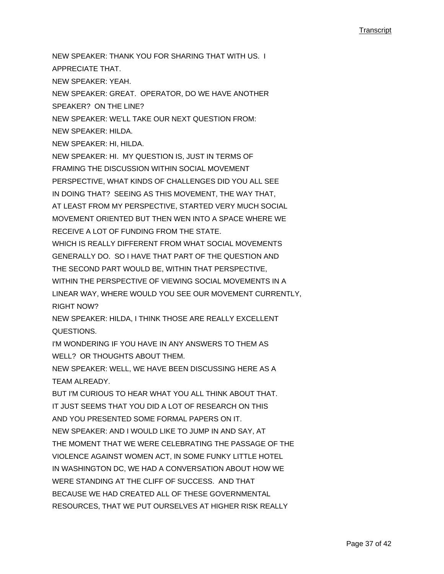NEW SPEAKER: THANK YOU FOR SHARING THAT WITH US. I APPRECIATE THAT. NEW SPEAKER: YEAH. NEW SPEAKER: GREAT. OPERATOR, DO WE HAVE ANOTHER SPEAKER? ON THE LINE? NEW SPEAKER: WE'LL TAKE OUR NEXT QUESTION FROM: NEW SPEAKER: HILDA. NEW SPEAKER: HI, HILDA. NEW SPEAKER: HI. MY QUESTION IS, JUST IN TERMS OF FRAMING THE DISCUSSION WITHIN SOCIAL MOVEMENT PERSPECTIVE, WHAT KINDS OF CHALLENGES DID YOU ALL SEE IN DOING THAT? SEEING AS THIS MOVEMENT, THE WAY THAT, AT LEAST FROM MY PERSPECTIVE, STARTED VERY MUCH SOCIAL MOVEMENT ORIENTED BUT THEN WEN INTO A SPACE WHERE WE RECEIVE A LOT OF FUNDING FROM THE STATE. WHICH IS REALLY DIFFERENT FROM WHAT SOCIAL MOVEMENTS GENERALLY DO. SO I HAVE THAT PART OF THE QUESTION AND THE SECOND PART WOULD BE, WITHIN THAT PERSPECTIVE, WITHIN THE PERSPECTIVE OF VIEWING SOCIAL MOVEMENTS IN A LINEAR WAY, WHERE WOULD YOU SEE OUR MOVEMENT CURRENTLY, RIGHT NOW? NEW SPEAKER: HILDA, I THINK THOSE ARE REALLY EXCELLENT QUESTIONS. I'M WONDERING IF YOU HAVE IN ANY ANSWERS TO THEM AS WELL? OR THOUGHTS ABOUT THEM. NEW SPEAKER: WELL, WE HAVE BEEN DISCUSSING HERE AS A TEAM ALREADY. BUT I'M CURIOUS TO HEAR WHAT YOU ALL THINK ABOUT THAT. IT JUST SEEMS THAT YOU DID A LOT OF RESEARCH ON THIS AND YOU PRESENTED SOME FORMAL PAPERS ON IT. NEW SPEAKER: AND I WOULD LIKE TO JUMP IN AND SAY, AT THE MOMENT THAT WE WERE CELEBRATING THE PASSAGE OF THE VIOLENCE AGAINST WOMEN ACT, IN SOME FUNKY LITTLE HOTEL IN WASHINGTON DC, WE HAD A CONVERSATION ABOUT HOW WE WERE STANDING AT THE CLIFF OF SUCCESS. AND THAT BECAUSE WE HAD CREATED ALL OF THESE GOVERNMENTAL RESOURCES, THAT WE PUT OURSELVES AT HIGHER RISK REALLY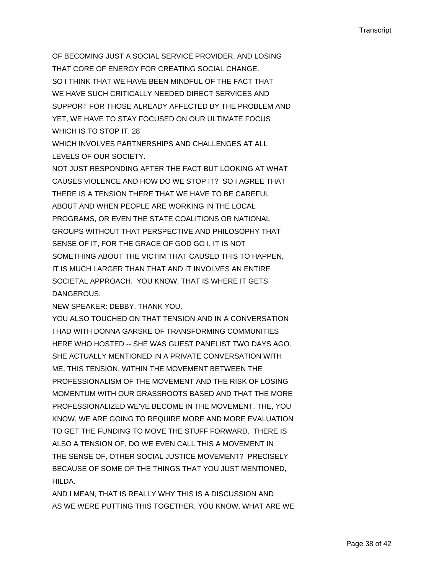OF BECOMING JUST A SOCIAL SERVICE PROVIDER, AND LOSING THAT CORE OF ENERGY FOR CREATING SOCIAL CHANGE. SO I THINK THAT WE HAVE BEEN MINDEUL OF THE FACT THAT WE HAVE SUCH CRITICALLY NEEDED DIRECT SERVICES AND SUPPORT FOR THOSE ALREADY AFFECTED BY THE PROBLEM AND YET, WE HAVE TO STAY FOCUSED ON OUR ULTIMATE FOCUS WHICH IS TO STOP IT. 28

WHICH INVOLVES PARTNERSHIPS AND CHALLENGES AT ALL LEVELS OF OUR SOCIETY.

NOT JUST RESPONDING AFTER THE FACT BUT LOOKING AT WHAT CAUSES VIOLENCE AND HOW DO WE STOP IT? SO I AGREE THAT THERE IS A TENSION THERE THAT WE HAVE TO BE CAREFUL ABOUT AND WHEN PEOPLE ARE WORKING IN THE LOCAL PROGRAMS, OR EVEN THE STATE COALITIONS OR NATIONAL GROUPS WITHOUT THAT PERSPECTIVE AND PHILOSOPHY THAT SENSE OF IT, FOR THE GRACE OF GOD GO I, IT IS NOT SOMETHING ABOUT THE VICTIM THAT CAUSED THIS TO HAPPEN, IT IS MUCH LARGER THAN THAT AND IT INVOLVES AN ENTIRE SOCIETAL APPROACH. YOU KNOW, THAT IS WHERE IT GETS DANGEROUS.

NEW SPEAKER: DEBBY, THANK YOU.

YOU ALSO TOUCHED ON THAT TENSION AND IN A CONVERSATION I HAD WITH DONNA GARSKE OF TRANSFORMING COMMUNITIES HERE WHO HOSTED -- SHE WAS GUEST PANELIST TWO DAYS AGO. SHE ACTUALLY MENTIONED IN A PRIVATE CONVERSATION WITH ME, THIS TENSION, WITHIN THE MOVEMENT BETWEEN THE PROFESSIONALISM OF THE MOVEMENT AND THE RISK OF LOSING MOMENTUM WITH OUR GRASSROOTS BASED AND THAT THE MORE PROFESSIONALIZED WE'VE BECOME IN THE MOVEMENT, THE, YOU KNOW, WE ARE GOING TO REQUIRE MORE AND MORE EVALUATION TO GET THE FUNDING TO MOVE THE STUFF FORWARD. THERE IS ALSO A TENSION OF, DO WE EVEN CALL THIS A MOVEMENT IN THE SENSE OF, OTHER SOCIAL JUSTICE MOVEMENT? PRECISELY BECAUSE OF SOME OF THE THINGS THAT YOU JUST MENTIONED, HII DA

AND I MEAN, THAT IS REALLY WHY THIS IS A DISCUSSION AND AS WE WERE PUTTING THIS TOGETHER, YOU KNOW, WHAT ARE WE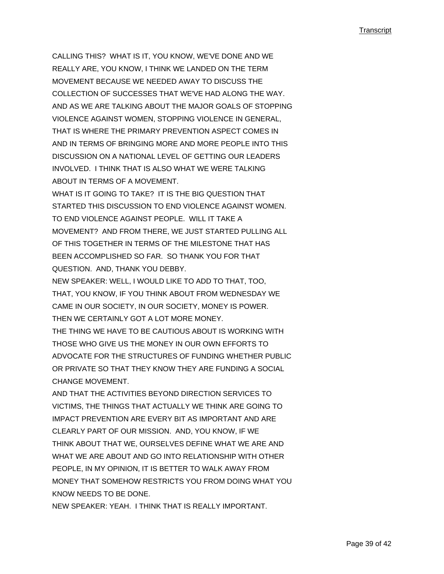CALLING THIS? WHAT IS IT, YOU KNOW, WE'VE DONE AND WE REALLY ARE, YOU KNOW, I THINK WE LANDED ON THE TERM MOVEMENT BECAUSE WE NEEDED AWAY TO DISCUSS THE COLLECTION OF SUCCESSES THAT WE'VE HAD ALONG THE WAY. AND AS WE ARE TALKING ABOUT THE MAJOR GOALS OF STOPPING VIOLENCE AGAINST WOMEN, STOPPING VIOLENCE IN GENERAL, THAT IS WHERE THE PRIMARY PREVENTION ASPECT COMES IN AND IN TERMS OF BRINGING MORE AND MORE PEOPLE INTO THIS DISCUSSION ON A NATIONAL LEVEL OF GETTING OUR LEADERS INVOLVED. I THINK THAT IS ALSO WHAT WE WERE TALKING ABOUT IN TERMS OF A MOVEMENT.

WHAT IS IT GOING TO TAKE? IT IS THE BIG QUESTION THAT STARTED THIS DISCUSSION TO END VIOLENCE AGAINST WOMEN. TO END VIOLENCE AGAINST PEOPLE. WILL IT TAKE A MOVEMENT? AND FROM THERE, WE JUST STARTED PULLING ALL OF THIS TOGETHER IN TERMS OF THE MILESTONE THAT HAS BEEN ACCOMPLISHED SO FAR. SO THANK YOU FOR THAT QUESTION. AND, THANK YOU DEBBY.

NEW SPEAKER: WELL, I WOULD LIKE TO ADD TO THAT, TOO, THAT, YOU KNOW, IF YOU THINK ABOUT FROM WEDNESDAY WE CAME IN OUR SOCIETY, IN OUR SOCIETY, MONEY IS POWER. THEN WE CERTAINLY GOT A LOT MORE MONEY.

THE THING WE HAVE TO BE CAUTIOUS ABOUT IS WORKING WITH THOSE WHO GIVE US THE MONEY IN OUR OWN EFFORTS TO ADVOCATE FOR THE STRUCTURES OF FUNDING WHETHER PUBLIC OR PRIVATE SO THAT THEY KNOW THEY ARE FUNDING A SOCIAL CHANGE MOVEMENT.

AND THAT THE ACTIVITIES BEYOND DIRECTION SERVICES TO VICTIMS, THE THINGS THAT ACTUALLY WE THINK ARE GOING TO IMPACT PREVENTION ARE EVERY BIT AS IMPORTANT AND ARE CLEARLY PART OF OUR MISSION. AND, YOU KNOW, IF WE THINK ABOUT THAT WE, OURSELVES DEFINE WHAT WE ARE AND WHAT WE ARE ABOUT AND GO INTO RELATIONSHIP WITH OTHER PEOPLE, IN MY OPINION, IT IS BETTER TO WALK AWAY FROM MONEY THAT SOMEHOW RESTRICTS YOU FROM DOING WHAT YOU KNOW NEEDS TO BE DONE.

NEW SPEAKER: YEAH. I THINK THAT IS REALLY IMPORTANT.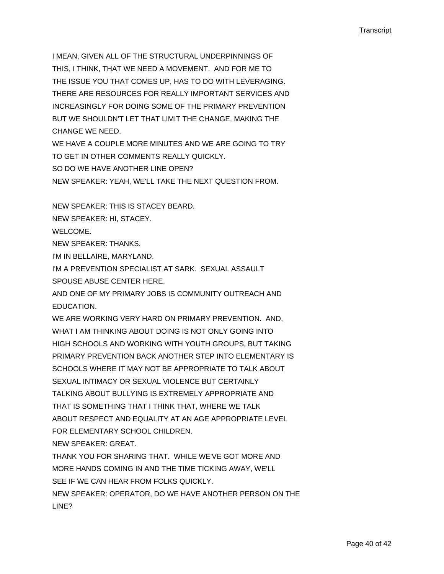I MEAN, GIVEN ALL OF THE STRUCTURAL UNDERPINNINGS OF THIS, I THINK, THAT WE NEED A MOVEMENT. AND FOR ME TO THE ISSUE YOU THAT COMES UP, HAS TO DO WITH LEVERAGING. THERE ARE RESOURCES FOR REALLY IMPORTANT SERVICES AND INCREASINGLY FOR DOING SOME OF THE PRIMARY PREVENTION BUT WE SHOULDN'T LET THAT LIMIT THE CHANGE, MAKING THE CHANGE WE NEED.

WE HAVE A COUPLE MORE MINUTES AND WE ARE GOING TO TRY TO GET IN OTHER COMMENTS REALLY QUICKLY. SO DO WE HAVE ANOTHER LINE OPEN?

NEW SPEAKER: YEAH, WE'LL TAKE THE NEXT QUESTION FROM.

NEW SPEAKER: THIS IS STACEY BEARD.

NEW SPEAKER: HI, STACEY.

WELCOME.

NEW SPEAKER: THANKS.

I'M IN BELLAIRE, MARYLAND.

I'M A PREVENTION SPECIALIST AT SARK. SEXUAL ASSAULT SPOUSE ABUSE CENTER HERE.

AND ONE OF MY PRIMARY JOBS IS COMMUNITY OUTREACH AND EDUCATION.

WE ARE WORKING VERY HARD ON PRIMARY PREVENTION. AND, WHAT I AM THINKING ABOUT DOING IS NOT ONLY GOING INTO HIGH SCHOOLS AND WORKING WITH YOUTH GROUPS, BUT TAKING PRIMARY PREVENTION BACK ANOTHER STEP INTO ELEMENTARY IS SCHOOLS WHERE IT MAY NOT BE APPROPRIATE TO TALK ABOUT SEXUAL INTIMACY OR SEXUAL VIOLENCE BUT CERTAINLY TALKING ABOUT BULLYING IS EXTREMELY APPROPRIATE AND THAT IS SOMETHING THAT I THINK THAT, WHERE WE TALK ABOUT RESPECT AND EQUALITY AT AN AGE APPROPRIATE LEVEL FOR ELEMENTARY SCHOOL CHILDREN.

NEW SPEAKER: GREAT.

THANK YOU FOR SHARING THAT. WHILE WE'VE GOT MORE AND MORE HANDS COMING IN AND THE TIME TICKING AWAY, WE'LL SEE IF WE CAN HEAR FROM FOLKS QUICKLY. NEW SPEAKER: OPERATOR, DO WE HAVE ANOTHER PERSON ON THE

LINE?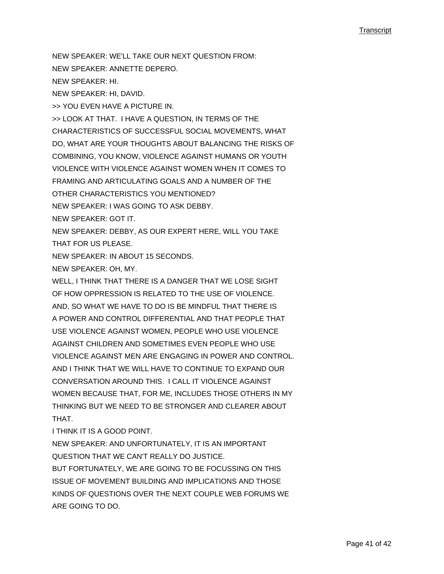NEW SPEAKER: WE'LL TAKE OUR NEXT QUESTION FROM:

NEW SPEAKER: ANNETTE DEPERO.

NEW SPEAKER: HI.

NEW SPEAKER: HI, DAVID.

>> YOU EVEN HAVE A PICTURE IN.

>> LOOK AT THAT. I HAVE A QUESTION, IN TERMS OF THE CHARACTERISTICS OF SUCCESSFUL SOCIAL MOVEMENTS, WHAT DO, WHAT ARE YOUR THOUGHTS ABOUT BALANCING THE RISKS OF COMBINING, YOU KNOW, VIOLENCE AGAINST HUMANS OR YOUTH VIOLENCE WITH VIOLENCE AGAINST WOMEN WHEN IT COMES TO FRAMING AND ARTICULATING GOALS AND A NUMBER OF THE OTHER CHARACTERISTICS YOU MENTIONED? NEW SPEAKER: I WAS GOING TO ASK DEBBY.

NEW SPEAKER: GOT IT.

NEW SPEAKER: DEBBY, AS OUR EXPERT HERE, WILL YOU TAKE THAT FOR US PLEASE.

NEW SPEAKER: IN ABOUT 15 SECONDS.

NEW SPEAKER: OH, MY.

WELL, I THINK THAT THERE IS A DANGER THAT WE LOSE SIGHT OF HOW OPPRESSION IS RELATED TO THE USE OF VIOLENCE. AND, SO WHAT WE HAVE TO DO IS BE MINDFUL THAT THERE IS A POWER AND CONTROL DIFFERENTIAL AND THAT PEOPLE THAT USE VIOLENCE AGAINST WOMEN, PEOPLE WHO USE VIOLENCE AGAINST CHILDREN AND SOMETIMES EVEN PEOPLE WHO USE VIOLENCE AGAINST MEN ARE ENGAGING IN POWER AND CONTROL. AND I THINK THAT WE WILL HAVE TO CONTINUE TO EXPAND OUR CONVERSATION AROUND THIS. I CALL IT VIOLENCE AGAINST WOMEN BECAUSE THAT, FOR ME, INCLUDES THOSE OTHERS IN MY THINKING BUT WE NEED TO BE STRONGER AND CLEARER ABOUT THAT.

I THINK IT IS A GOOD POINT.

NEW SPEAKER: AND UNFORTUNATELY, IT IS AN IMPORTANT QUESTION THAT WE CAN'T REALLY DO JUSTICE.

BUT FORTUNATELY, WE ARE GOING TO BE FOCUSSING ON THIS ISSUE OF MOVEMENT BUILDING AND IMPLICATIONS AND THOSE KINDS OF QUESTIONS OVER THE NEXT COUPLE WEB FORUMS WE ARE GOING TO DO.